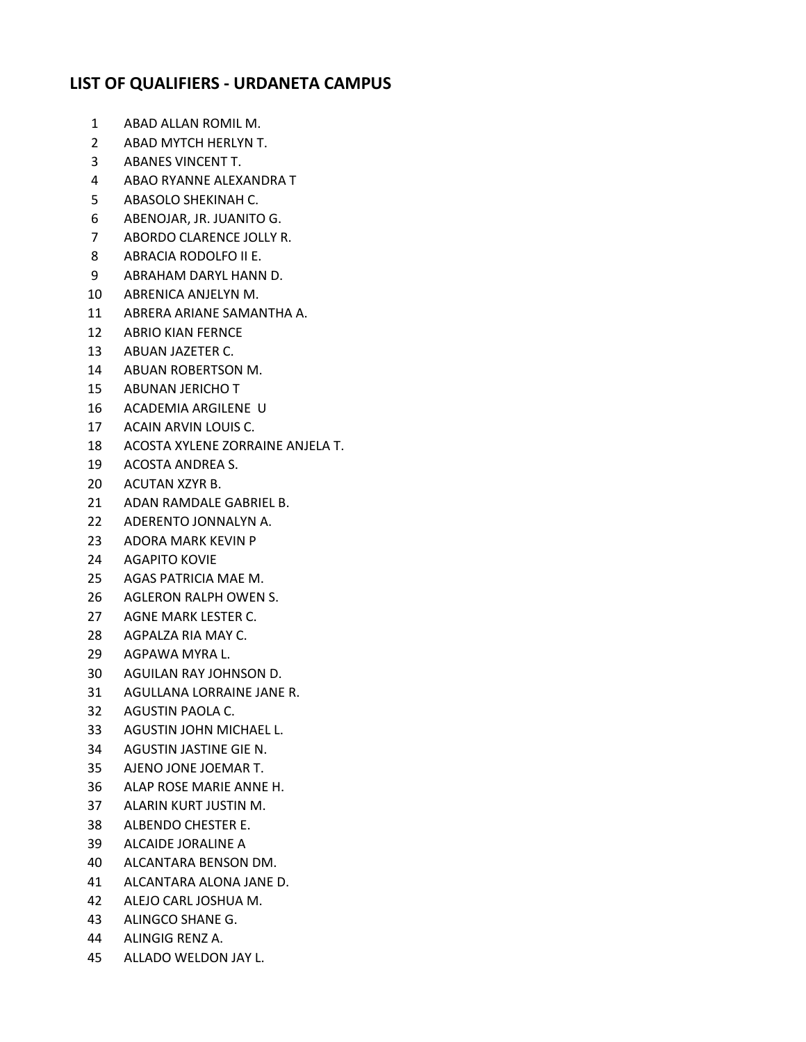## **LIST OF QUALIFIERS - URDANETA CAMPUS**

- ABAD ALLAN ROMIL M.
- ABAD MYTCH HERLYN T.
- ABANES VINCENT T.
- ABAO RYANNE ALEXANDRA T
- ABASOLO SHEKINAH C.
- ABENOJAR, JR. JUANITO G.
- ABORDO CLARENCE JOLLY R.
- ABRACIA RODOLFO II E.
- ABRAHAM DARYL HANN D.
- ABRENICA ANJELYN M.
- ABRERA ARIANE SAMANTHA A.
- ABRIO KIAN FERNCE
- ABUAN JAZETER C.
- ABUAN ROBERTSON M.
- ABUNAN JERICHO T
- ACADEMIA ARGILENE U
- ACAIN ARVIN LOUIS C.
- ACOSTA XYLENE ZORRAINE ANJELA T.
- ACOSTA ANDREA S.
- ACUTAN XZYR B.
- ADAN RAMDALE GABRIEL B.
- ADERENTO JONNALYN A.
- ADORA MARK KEVIN P
- AGAPITO KOVIE
- AGAS PATRICIA MAE M.
- AGLERON RALPH OWEN S.
- AGNE MARK LESTER C.
- AGPALZA RIA MAY C.
- AGPAWA MYRA L.
- AGUILAN RAY JOHNSON D.
- AGULLANA LORRAINE JANE R.
- AGUSTIN PAOLA C.
- AGUSTIN JOHN MICHAEL L.
- AGUSTIN JASTINE GIE N.
- AJENO JONE JOEMAR T.
- ALAP ROSE MARIE ANNE H.
- ALARIN KURT JUSTIN M.
- ALBENDO CHESTER E.
- ALCAIDE JORALINE A
- ALCANTARA BENSON DM.
- ALCANTARA ALONA JANE D.
- ALEJO CARL JOSHUA M.
- ALINGCO SHANE G.
- ALINGIG RENZ A.
- ALLADO WELDON JAY L.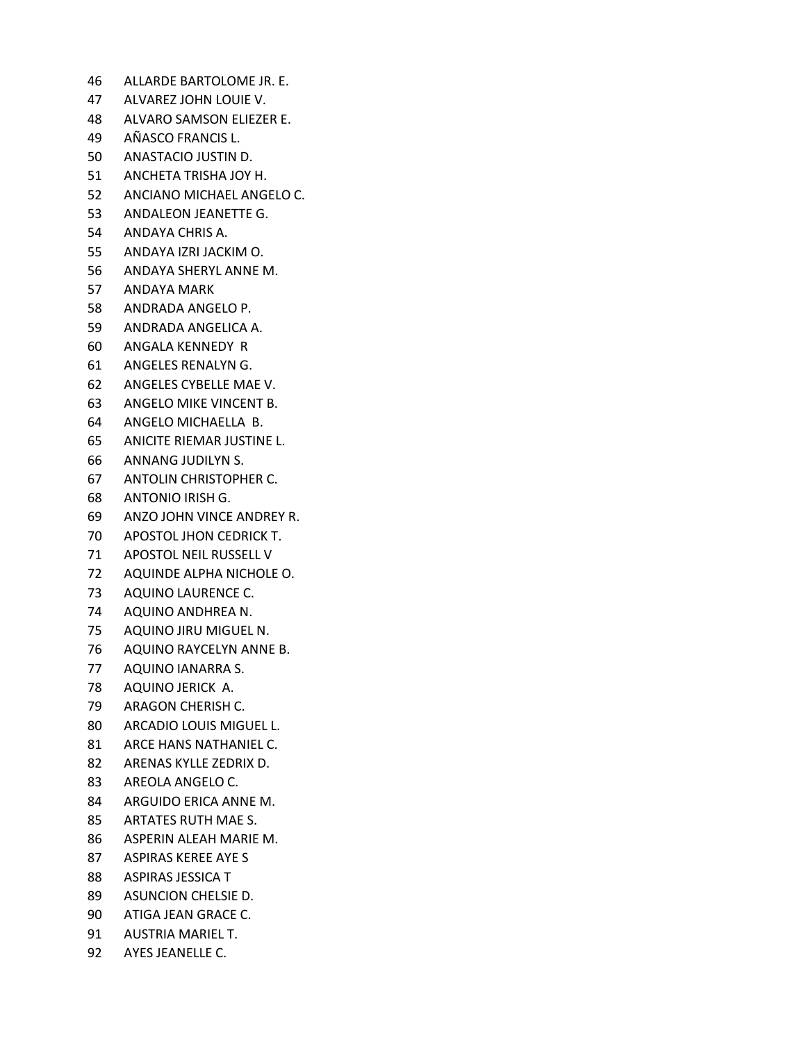- ALLARDE BARTOLOME JR. E.
- ALVAREZ JOHN LOUIE V.
- ALVARO SAMSON ELIEZER E.
- AÑASCO FRANCIS L.
- ANASTACIO JUSTIN D.
- ANCHETA TRISHA JOY H.
- ANCIANO MICHAEL ANGELO C.
- ANDALEON JEANETTE G.
- ANDAYA CHRIS A.
- ANDAYA IZRI JACKIM O.
- ANDAYA SHERYL ANNE M.
- ANDAYA MARK
- ANDRADA ANGELO P.
- ANDRADA ANGELICA A.
- ANGALA KENNEDY R
- ANGELES RENALYN G.
- ANGELES CYBELLE MAE V.
- ANGELO MIKE VINCENT B.
- ANGELO MICHAELLA B.
- ANICITE RIEMAR JUSTINE L.
- ANNANG JUDILYN S.
- ANTOLIN CHRISTOPHER C.
- ANTONIO IRISH G.
- ANZO JOHN VINCE ANDREY R.
- APOSTOL JHON CEDRICK T.
- APOSTOL NEIL RUSSELL V
- AQUINDE ALPHA NICHOLE O.
- AQUINO LAURENCE C.
- AQUINO ANDHREA N.
- AQUINO JIRU MIGUEL N.
- AQUINO RAYCELYN ANNE B.
- AQUINO IANARRA S.
- AQUINO JERICK A.
- ARAGON CHERISH C.
- ARCADIO LOUIS MIGUEL L.
- ARCE HANS NATHANIEL C.
- ARENAS KYLLE ZEDRIX D.
- AREOLA ANGELO C.
- ARGUIDO ERICA ANNE M.
- ARTATES RUTH MAE S.
- ASPERIN ALEAH MARIE M.
- ASPIRAS KEREE AYE S
- ASPIRAS JESSICA T
- ASUNCION CHELSIE D.
- ATIGA JEAN GRACE C.
- AUSTRIA MARIEL T.
- AYES JEANELLE C.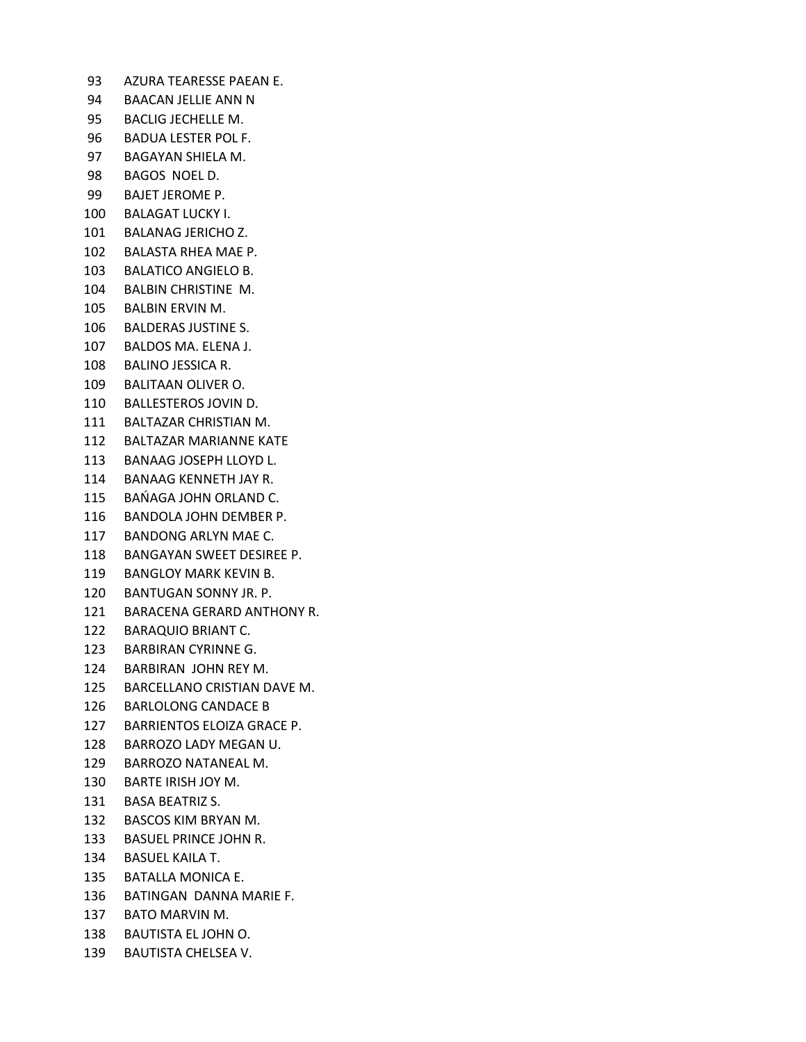AZURA TEARESSE PAEAN E. BAACAN JELLIE ANN N BACLIG JECHELLE M. BADUA LESTER POL F. BAGAYAN SHIELA M. BAGOS NOEL D. BAJET JEROME P. BALAGAT LUCKY I. BALANAG JERICHO Z. BALASTA RHEA MAE P. BALATICO ANGIELO B. BALBIN CHRISTINE M. BALBIN ERVIN M. BALDERAS JUSTINE S. BALDOS MA. ELENA J. BALINO JESSICA R. BALITAAN OLIVER O. BALLESTEROS JOVIN D. BALTAZAR CHRISTIAN M. BALTAZAR MARIANNE KATE BANAAG JOSEPH LLOYD L. BANAAG KENNETH JAY R. BAŃAGA JOHN ORLAND C. BANDOLA JOHN DEMBER P. BANDONG ARLYN MAE C. BANGAYAN SWEET DESIREE P. BANGLOY MARK KEVIN B. BANTUGAN SONNY JR. P. BARACENA GERARD ANTHONY R. BARAQUIO BRIANT C. BARBIRAN CYRINNE G. BARBIRAN JOHN REY M. BARCELLANO CRISTIAN DAVE M. BARLOLONG CANDACE B BARRIENTOS ELOIZA GRACE P. BARROZO LADY MEGAN U. BARROZO NATANEAL M. BARTE IRISH JOY M. BASA BEATRIZ S. BASCOS KIM BRYAN M. BASUEL PRINCE JOHN R. BASUEL KAILA T. BATALLA MONICA E. BATINGAN DANNA MARIE F. BATO MARVIN M. BAUTISTA EL JOHN O. BAUTISTA CHELSEA V.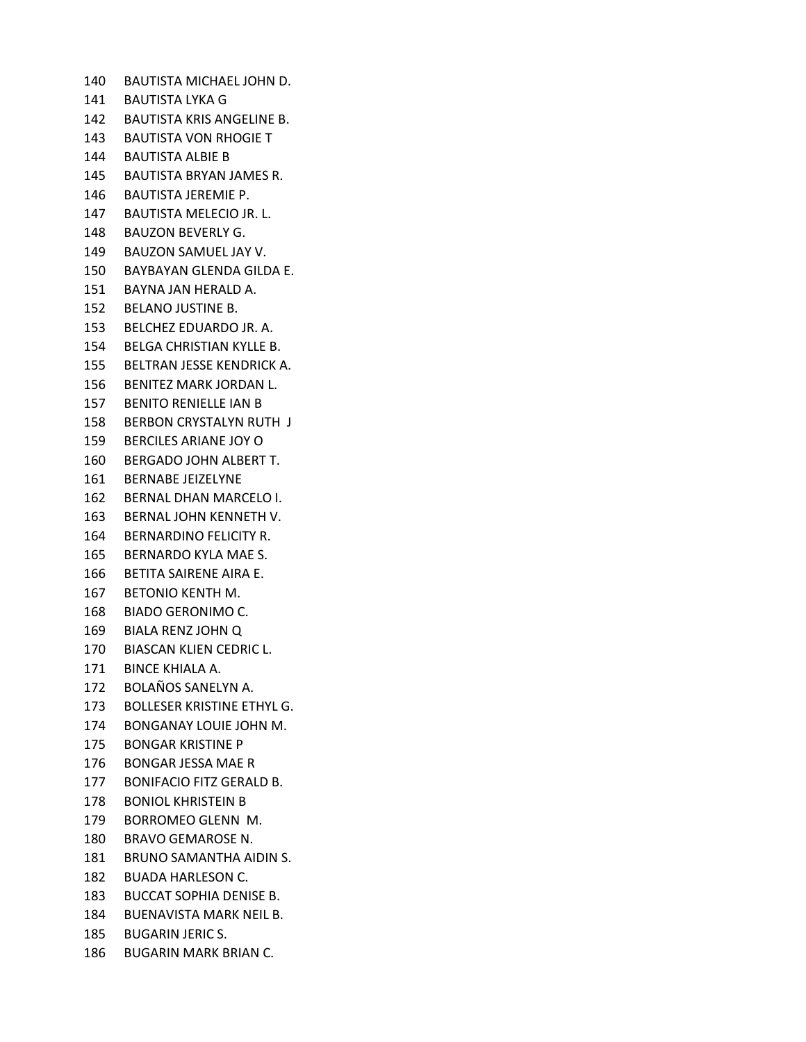BAUTISTA MICHAEL JOHN D. BAUTISTA LYKA G BAUTISTA KRIS ANGELINE B. BAUTISTA VON RHOGIE T BAUTISTA ALBIE B BAUTISTA BRYAN JAMES R. BAUTISTA JEREMIE P. BAUTISTA MELECIO JR. L. BAUZON BEVERLY G. BAUZON SAMUEL JAY V. BAYBAYAN GLENDA GILDA E. BAYNA JAN HERALD A. BELANO JUSTINE B. BELCHEZ EDUARDO JR. A. BELGA CHRISTIAN KYLLE B. BELTRAN JESSE KENDRICK A. BENITEZ MARK JORDAN L. BENITO RENIELLE IAN B BERBON CRYSTALYN RUTH J BERCILES ARIANE JOY O BERGADO JOHN ALBERT T. BERNABE JEIZELYNE BERNAL DHAN MARCELO I. BERNAL JOHN KENNETH V. BERNARDINO FELICITY R. BERNARDO KYLA MAE S. BETITA SAIRENE AIRA E. BETONIO KENTH M. BIADO GERONIMO C. BIALA RENZ JOHN Q BIASCAN KLIEN CEDRIC L. BINCE KHIALA A. BOLAÑOS SANELYN A. BOLLESER KRISTINE ETHYL G. BONGANAY LOUIE JOHN M. BONGAR KRISTINE P BONGAR JESSA MAE R BONIFACIO FITZ GERALD B. BONIOL KHRISTEIN B BORROMEO GLENN M. BRAVO GEMAROSE N. BRUNO SAMANTHA AIDIN S. BUADA HARLESON C. BUCCAT SOPHIA DENISE B. BUENAVISTA MARK NEIL B. BUGARIN JERIC S. BUGARIN MARK BRIAN C.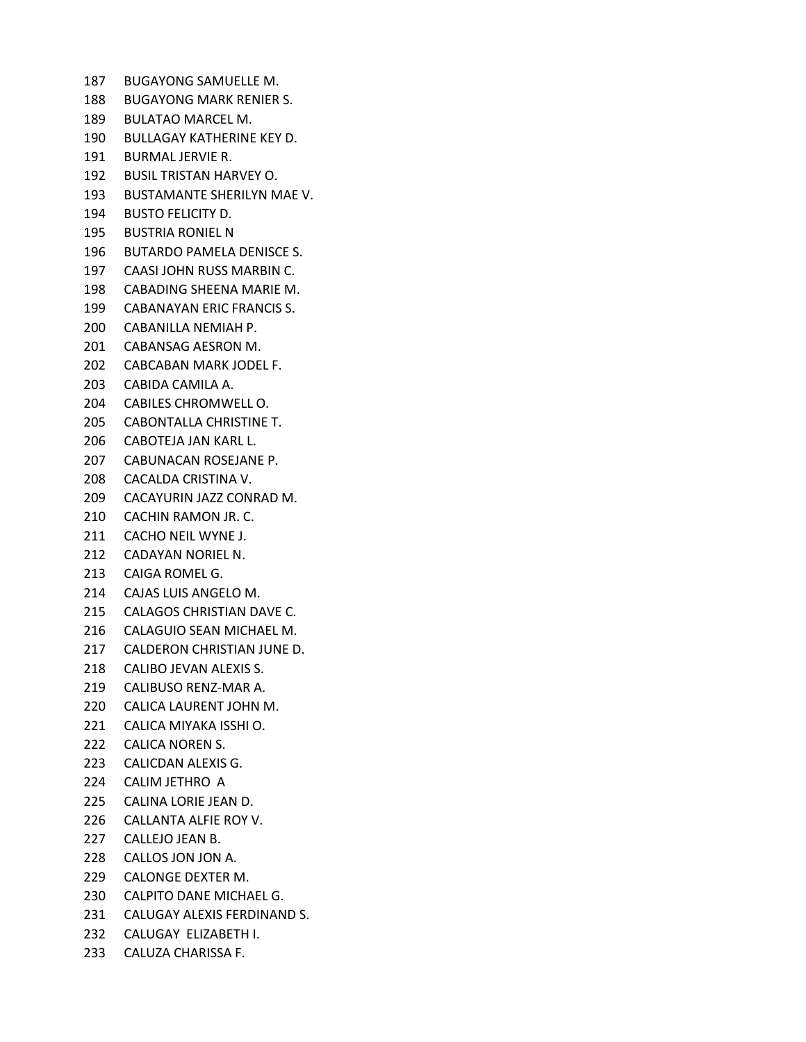BUGAYONG SAMUELLE M. BUGAYONG MARK RENIER S. BULATAO MARCEL M. BULLAGAY KATHERINE KEY D. BURMAL JERVIE R. BUSIL TRISTAN HARVEY O. BUSTAMANTE SHERILYN MAE V. BUSTO FELICITY D. BUSTRIA RONIEL N BUTARDO PAMELA DENISCE S. CAASI JOHN RUSS MARBIN C. CABADING SHEENA MARIE M. CABANAYAN ERIC FRANCIS S. CABANILLA NEMIAH P. CABANSAG AESRON M. CABCABAN MARK JODEL F. CABIDA CAMILA A. CABILES CHROMWELL O. CABONTALLA CHRISTINE T. CABOTEJA JAN KARL L. CABUNACAN ROSEJANE P. CACALDA CRISTINA V. CACAYURIN JAZZ CONRAD M. CACHIN RAMON JR. C. CACHO NEIL WYNE J. CADAYAN NORIEL N. CAIGA ROMEL G. CAJAS LUIS ANGELO M. CALAGOS CHRISTIAN DAVE C. CALAGUIO SEAN MICHAEL M. CALDERON CHRISTIAN JUNE D. CALIBO JEVAN ALEXIS S. CALIBUSO RENZ-MAR A. CALICA LAURENT JOHN M. CALICA MIYAKA ISSHI O. CALICA NOREN S. CALICDAN ALEXIS G. CALIM JETHRO A CALINA LORIE JEAN D. CALLANTA ALFIE ROY V. CALLEJO JEAN B. CALLOS JON JON A. CALONGE DEXTER M. CALPITO DANE MICHAEL G. CALUGAY ALEXIS FERDINAND S. CALUGAY ELIZABETH I.

CALUZA CHARISSA F.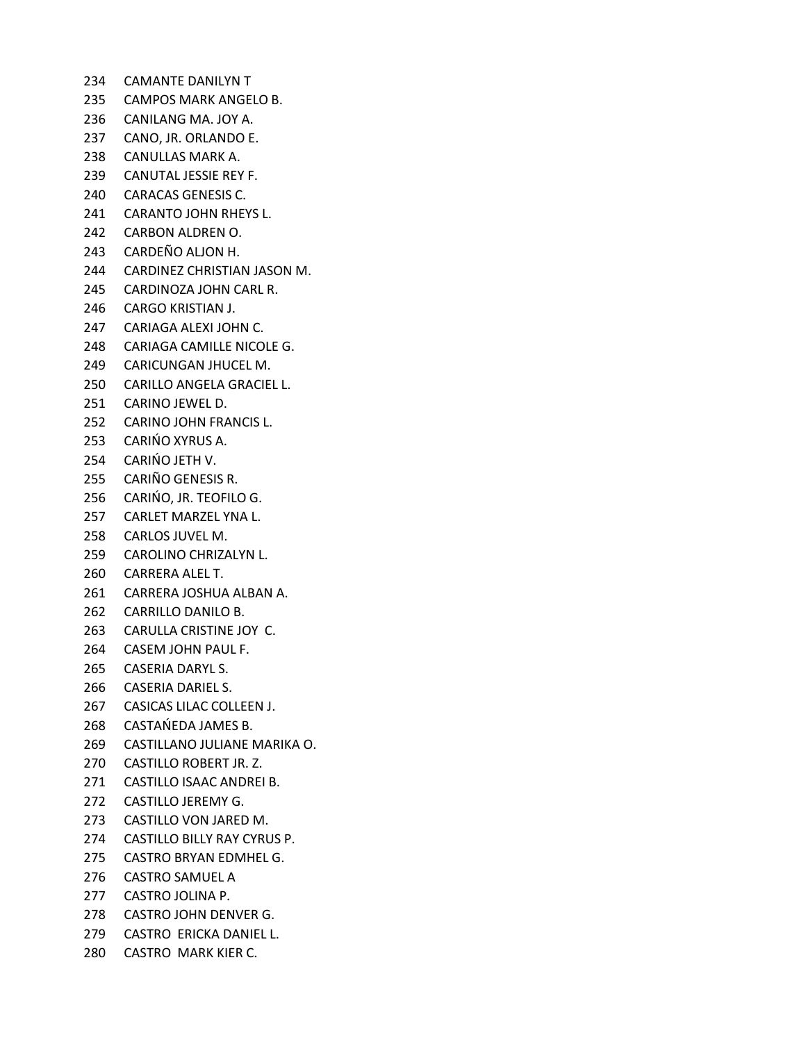CAMANTE DANILYN T CAMPOS MARK ANGELO B. CANILANG MA. JOY A. CANO, JR. ORLANDO E. CANULLAS MARK A. CANUTAL JESSIE REY F. CARACAS GENESIS C. CARANTO JOHN RHEYS L. CARBON ALDREN O. CARDEÑO ALJON H. CARDINEZ CHRISTIAN JASON M. CARDINOZA JOHN CARL R. CARGO KRISTIAN J. CARIAGA ALEXI JOHN C. CARIAGA CAMILLE NICOLE G. CARICUNGAN JHUCEL M. CARILLO ANGELA GRACIEL L. CARINO JEWEL D. CARINO JOHN FRANCIS L. CARIŃO XYRUS A. CARIŃO JETH V. CARIÑO GENESIS R. CARIŃO, JR. TEOFILO G. CARLET MARZEL YNA L. CARLOS JUVEL M. CAROLINO CHRIZALYN L. CARRERA ALEL T. CARRERA JOSHUA ALBAN A. CARRILLO DANILO B. CARULLA CRISTINE JOY C. CASEM JOHN PAUL F. CASERIA DARYL S. CASERIA DARIEL S. CASICAS LILAC COLLEEN J. CASTAŃEDA JAMES B. CASTILLANO JULIANE MARIKA O. CASTILLO ROBERT JR. Z. CASTILLO ISAAC ANDREI B. CASTILLO JEREMY G. CASTILLO VON JARED M. CASTILLO BILLY RAY CYRUS P. CASTRO BRYAN EDMHEL G. CASTRO SAMUEL A CASTRO JOLINA P. CASTRO JOHN DENVER G. CASTRO ERICKA DANIEL L. CASTRO MARK KIER C.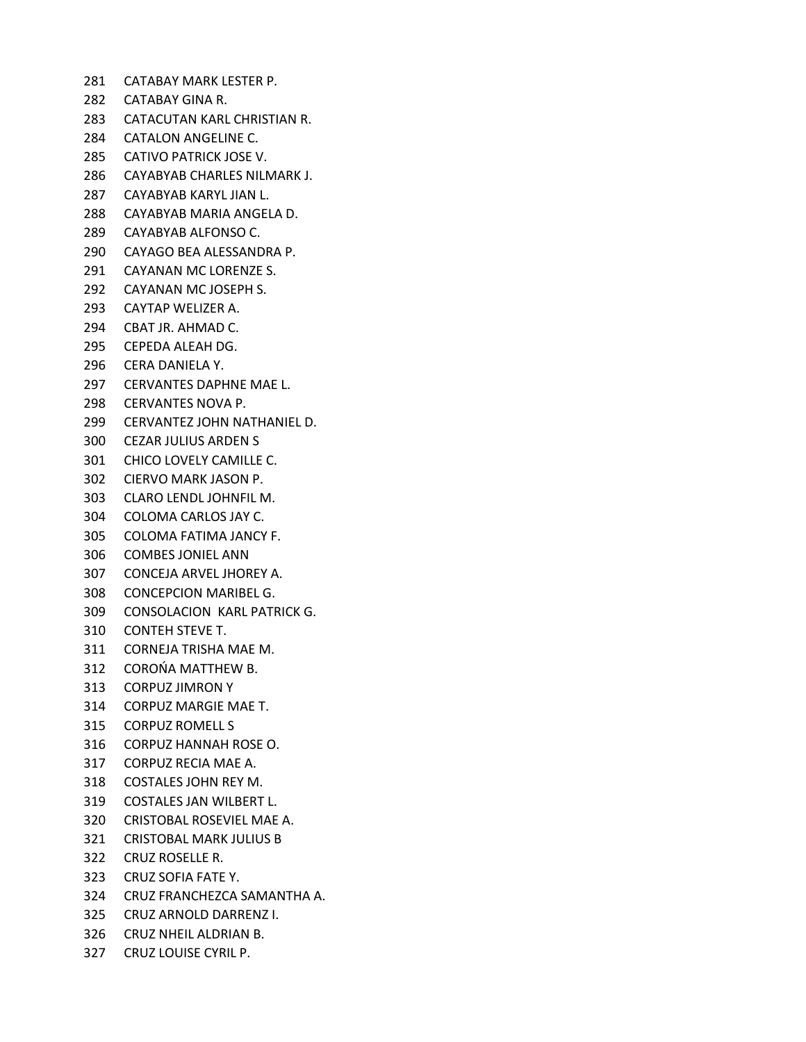CATABAY MARK LESTER P. CATABAY GINA R. CATACUTAN KARL CHRISTIAN R. CATALON ANGELINE C. CATIVO PATRICK JOSE V. CAYABYAB CHARLES NILMARK J. CAYABYAB KARYL JIAN L. CAYABYAB MARIA ANGELA D. CAYABYAB ALFONSO C. CAYAGO BEA ALESSANDRA P. CAYANAN MC LORENZE S. CAYANAN MC JOSEPH S. CAYTAP WELIZER A. CBAT JR. AHMAD C. CEPEDA ALEAH DG. CERA DANIELA Y. CERVANTES DAPHNE MAE L. CERVANTES NOVA P. CERVANTEZ JOHN NATHANIEL D. CEZAR JULIUS ARDEN S CHICO LOVELY CAMILLE C. CIERVO MARK JASON P. CLARO LENDL JOHNFIL M. COLOMA CARLOS JAY C. COLOMA FATIMA JANCY F. COMBES JONIEL ANN CONCEJA ARVEL JHOREY A. CONCEPCION MARIBEL G. CONSOLACION KARL PATRICK G. CONTEH STEVE T. CORNEJA TRISHA MAE M. COROŃA MATTHEW B. CORPUZ JIMRON Y CORPUZ MARGIE MAE T. CORPUZ ROMELL S CORPUZ HANNAH ROSE O. CORPUZ RECIA MAE A. COSTALES JOHN REY M. COSTALES JAN WILBERT L. CRISTOBAL ROSEVIEL MAE A. CRISTOBAL MARK JULIUS B CRUZ ROSELLE R. CRUZ SOFIA FATE Y. CRUZ FRANCHEZCA SAMANTHA A. CRUZ ARNOLD DARRENZ I. CRUZ NHEIL ALDRIAN B. CRUZ LOUISE CYRIL P.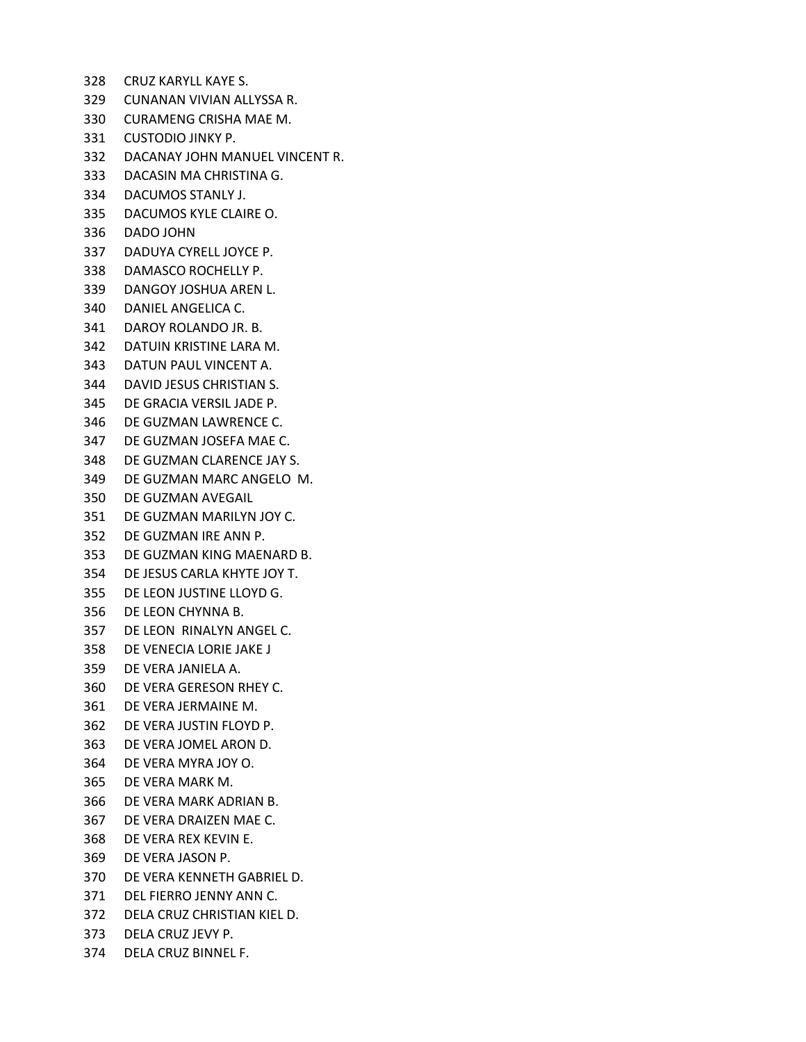- CRUZ KARYLL KAYE S.
- CUNANAN VIVIAN ALLYSSA R.
- CURAMENG CRISHA MAE M.
- CUSTODIO JINKY P.
- DACANAY JOHN MANUEL VINCENT R.
- DACASIN MA CHRISTINA G.
- DACUMOS STANLY J.
- DACUMOS KYLE CLAIRE O.
- DADO JOHN
- DADUYA CYRELL JOYCE P.
- DAMASCO ROCHELLY P.
- DANGOY JOSHUA AREN L.
- DANIEL ANGELICA C.
- DAROY ROLANDO JR. B.
- DATUIN KRISTINE LARA M.
- DATUN PAUL VINCENT A.
- DAVID JESUS CHRISTIAN S.
- DE GRACIA VERSIL JADE P.
- DE GUZMAN LAWRENCE C.
- DE GUZMAN JOSEFA MAE C.
- DE GUZMAN CLARENCE JAY S.
- DE GUZMAN MARC ANGELO M.
- DE GUZMAN AVEGAIL
- DE GUZMAN MARILYN JOY C.
- DE GUZMAN IRE ANN P.
- DE GUZMAN KING MAENARD B.
- DE JESUS CARLA KHYTE JOY T.
- DE LEON JUSTINE LLOYD G.
- DE LEON CHYNNA B.
- DE LEON RINALYN ANGEL C.
- DE VENECIA LORIE JAKE J
- DE VERA JANIELA A.
- DE VERA GERESON RHEY C.
- DE VERA JERMAINE M.
- DE VERA JUSTIN FLOYD P.
- DE VERA JOMEL ARON D.
- DE VERA MYRA JOY O.
- DE VERA MARK M.
- DE VERA MARK ADRIAN B.
- DE VERA DRAIZEN MAE C.
- DE VERA REX KEVIN E.
- DE VERA JASON P.
- DE VERA KENNETH GABRIEL D.
- DEL FIERRO JENNY ANN C.
- DELA CRUZ CHRISTIAN KIEL D.
- DELA CRUZ JEVY P.
- DELA CRUZ BINNEL F.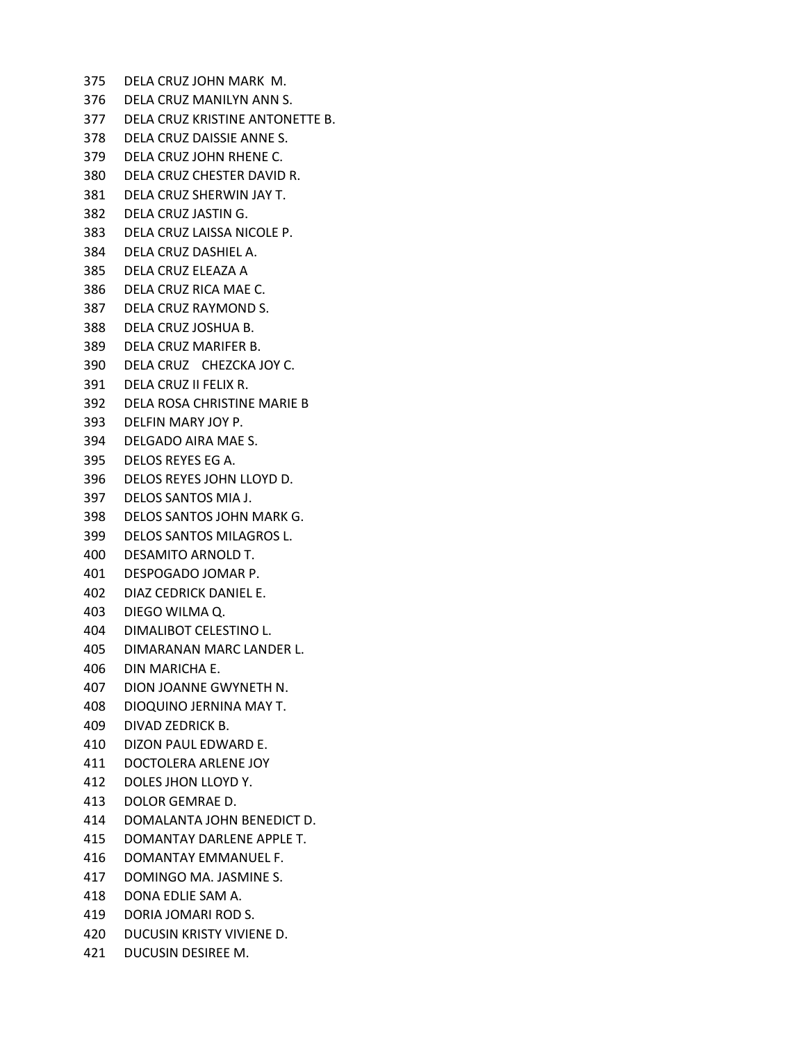DELA CRUZ JOHN MARK M. DELA CRUZ MANILYN ANN S. DELA CRUZ KRISTINE ANTONETTE B. DELA CRUZ DAISSIE ANNE S. DELA CRUZ JOHN RHENE C. DELA CRUZ CHESTER DAVID R. DELA CRUZ SHERWIN JAY T. DELA CRUZ JASTIN G. DELA CRUZ LAISSA NICOLE P. DELA CRUZ DASHIEL A. DELA CRUZ ELEAZA A DELA CRUZ RICA MAE C. DELA CRUZ RAYMOND S. DELA CRUZ JOSHUA B. DELA CRUZ MARIFER B. DELA CRUZ CHEZCKA JOY C. DELA CRUZ II FELIX R. DELA ROSA CHRISTINE MARIE B DELFIN MARY JOY P. DELGADO AIRA MAE S. DELOS REYES EG A. DELOS REYES JOHN LLOYD D. DELOS SANTOS MIA J. DELOS SANTOS JOHN MARK G. DELOS SANTOS MILAGROS L. DESAMITO ARNOLD T. DESPOGADO JOMAR P. DIAZ CEDRICK DANIEL E. DIEGO WILMA Q. DIMALIBOT CELESTINO L. DIMARANAN MARC LANDER L. DIN MARICHA E. DION JOANNE GWYNETH N. DIOQUINO JERNINA MAY T. DIVAD ZEDRICK B. DIZON PAUL EDWARD E. DOCTOLERA ARLENE JOY DOLES JHON LLOYD Y. DOLOR GEMRAE D. DOMALANTA JOHN BENEDICT D. DOMANTAY DARLENE APPLE T. DOMANTAY EMMANUEL F. DOMINGO MA. JASMINE S. DONA EDLIE SAM A. DORIA JOMARI ROD S. DUCUSIN KRISTY VIVIENE D. DUCUSIN DESIREE M.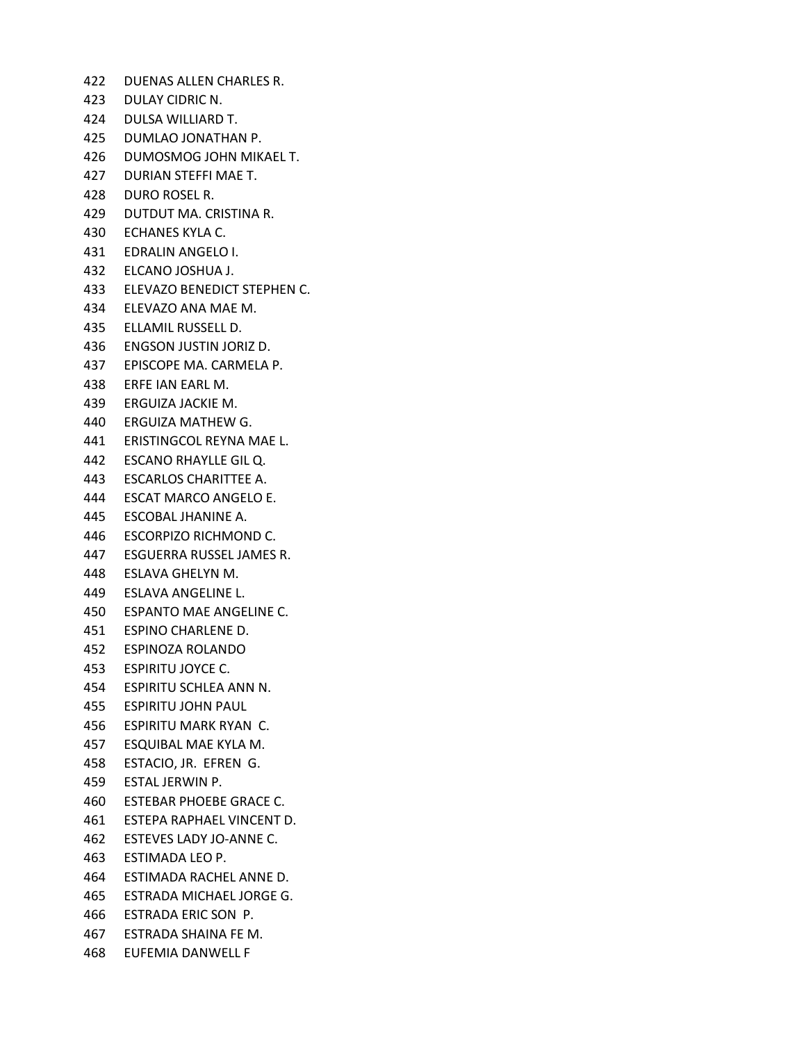- DUENAS ALLEN CHARLES R.
- DULAY CIDRIC N.
- DULSA WILLIARD T.
- DUMLAO JONATHAN P.
- DUMOSMOG JOHN MIKAEL T.
- DURIAN STEFFI MAE T.
- DURO ROSEL R.
- DUTDUT MA. CRISTINA R.
- ECHANES KYLA C.
- EDRALIN ANGELO I.
- ELCANO JOSHUA J.
- ELEVAZO BENEDICT STEPHEN C.
- ELEVAZO ANA MAE M.
- ELLAMIL RUSSELL D.
- ENGSON JUSTIN JORIZ D.
- EPISCOPE MA. CARMELA P.
- ERFE IAN EARL M.
- ERGUIZA JACKIE M.
- ERGUIZA MATHEW G.
- ERISTINGCOL REYNA MAE L.
- ESCANO RHAYLLE GIL Q.
- ESCARLOS CHARITTEE A.
- ESCAT MARCO ANGELO E.
- ESCOBAL JHANINE A.
- ESCORPIZO RICHMOND C.
- ESGUERRA RUSSEL JAMES R.
- ESLAVA GHELYN M.
- ESLAVA ANGELINE L.
- ESPANTO MAE ANGELINE C.
- ESPINO CHARLENE D.
- ESPINOZA ROLANDO
- ESPIRITU JOYCE C.
- ESPIRITU SCHLEA ANN N.
- ESPIRITU JOHN PAUL
- ESPIRITU MARK RYAN C.
- ESQUIBAL MAE KYLA M.
- ESTACIO, JR. EFREN G.
- ESTAL JERWIN P.
- ESTEBAR PHOEBE GRACE C.
- ESTEPA RAPHAEL VINCENT D.
- ESTEVES LADY JO-ANNE C.
- ESTIMADA LEO P.
- ESTIMADA RACHEL ANNE D.
- ESTRADA MICHAEL JORGE G.
- ESTRADA ERIC SON P.
- ESTRADA SHAINA FE M.
- EUFEMIA DANWELL F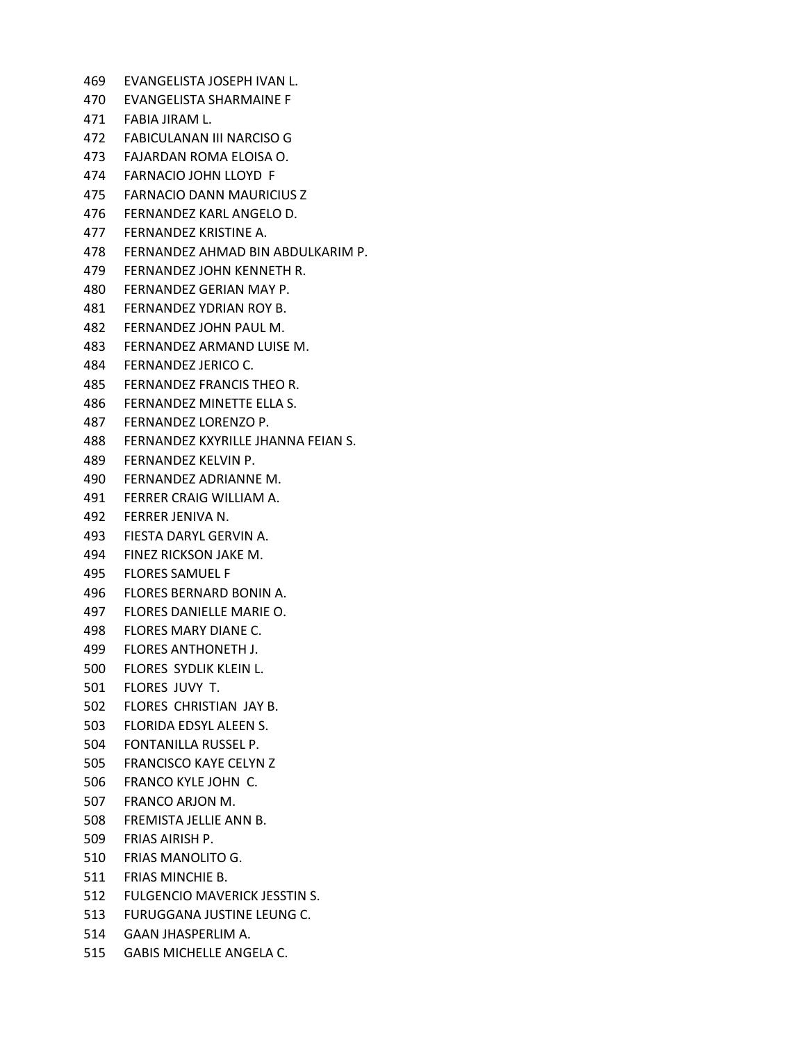EVANGELISTA JOSEPH IVAN L. EVANGELISTA SHARMAINE F FABIA JIRAM L. FABICULANAN III NARCISO G FAJARDAN ROMA ELOISA O. FARNACIO JOHN LLOYD F FARNACIO DANN MAURICIUS Z FERNANDEZ KARL ANGELO D. FERNANDEZ KRISTINE A. FERNANDEZ AHMAD BIN ABDULKARIM P. FERNANDEZ JOHN KENNETH R. FERNANDEZ GERIAN MAY P. FERNANDEZ YDRIAN ROY B. FERNANDEZ JOHN PAUL M. FERNANDEZ ARMAND LUISE M. FERNANDEZ JERICO C. FERNANDEZ FRANCIS THEO R. FERNANDEZ MINETTE ELLA S. FERNANDEZ LORENZO P. FERNANDEZ KXYRILLE JHANNA FEIAN S. FERNANDEZ KELVIN P. FERNANDEZ ADRIANNE M. FERRER CRAIG WILLIAM A. FERRER JENIVA N. FIESTA DARYL GERVIN A. FINEZ RICKSON JAKE M. FLORES SAMUEL F FLORES BERNARD BONIN A. FLORES DANIELLE MARIE O. FLORES MARY DIANE C. FLORES ANTHONETH J. FLORES SYDLIK KLEIN L. FLORES JUVY T. FLORES CHRISTIAN JAY B. FLORIDA EDSYL ALEEN S. FONTANILLA RUSSEL P. FRANCISCO KAYE CELYN Z FRANCO KYLE JOHN C. FRANCO ARJON M. FREMISTA JELLIE ANN B. FRIAS AIRISH P. FRIAS MANOLITO G. FRIAS MINCHIE B. FULGENCIO MAVERICK JESSTIN S. FURUGGANA JUSTINE LEUNG C. GAAN JHASPERLIM A. GABIS MICHELLE ANGELA C.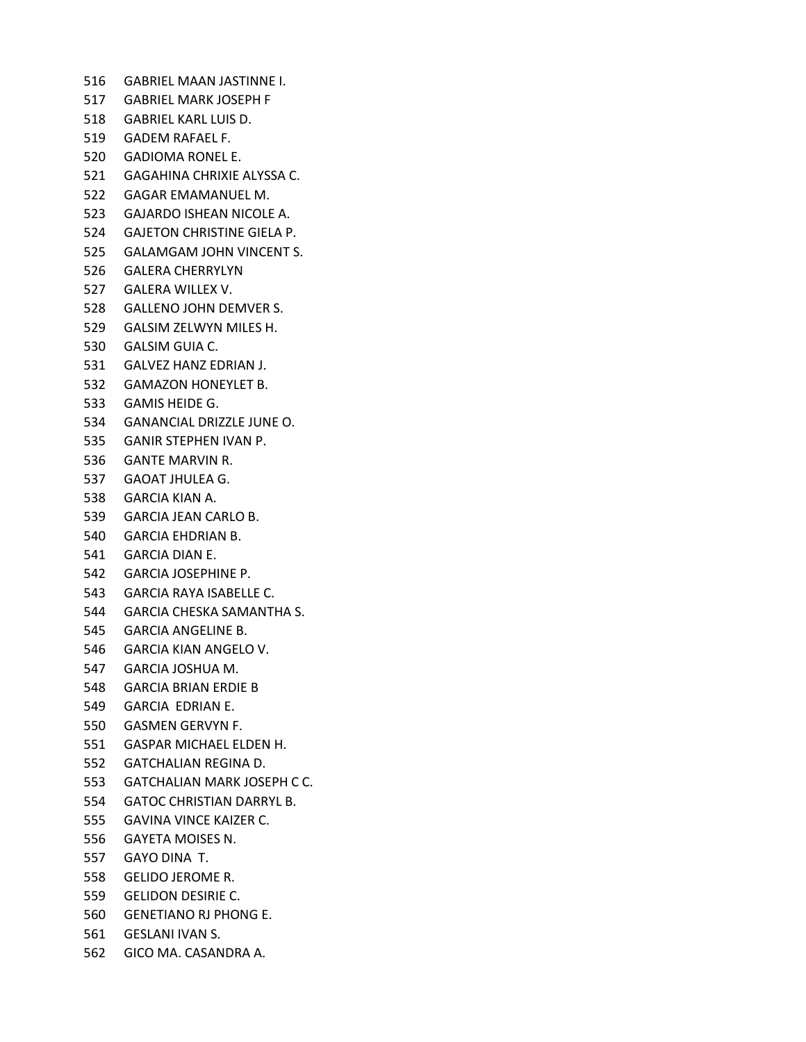GABRIEL MAAN JASTINNE I. GABRIEL MARK JOSEPH F GABRIEL KARL LUIS D. GADEM RAFAEL F. GADIOMA RONEL E. GAGAHINA CHRIXIE ALYSSA C. GAGAR EMAMANUEL M. GAJARDO ISHEAN NICOLE A. GAJETON CHRISTINE GIELA P. GALAMGAM JOHN VINCENT S. GALERA CHERRYLYN GALERA WILLEX V. GALLENO JOHN DEMVER S. GALSIM ZELWYN MILES H. GALSIM GUIA C. GALVEZ HANZ EDRIAN J. GAMAZON HONEYLET B. GAMIS HEIDE G. GANANCIAL DRIZZLE JUNE O. GANIR STEPHEN IVAN P. GANTE MARVIN R. GAOAT JHULEA G. GARCIA KIAN A. GARCIA JEAN CARLO B. GARCIA EHDRIAN B. GARCIA DIAN E. GARCIA JOSEPHINE P. GARCIA RAYA ISABELLE C. GARCIA CHESKA SAMANTHA S. GARCIA ANGELINE B. GARCIA KIAN ANGELO V. GARCIA JOSHUA M. GARCIA BRIAN ERDIE B GARCIA EDRIAN E. GASMEN GERVYN F. GASPAR MICHAEL ELDEN H. GATCHALIAN REGINA D. GATCHALIAN MARK JOSEPH C C. GATOC CHRISTIAN DARRYL B. GAVINA VINCE KAIZER C. GAYETA MOISES N. GAYO DINA T. GELIDO JEROME R. GELIDON DESIRIE C. GENETIANO RJ PHONG E. GESLANI IVAN S. GICO MA. CASANDRA A.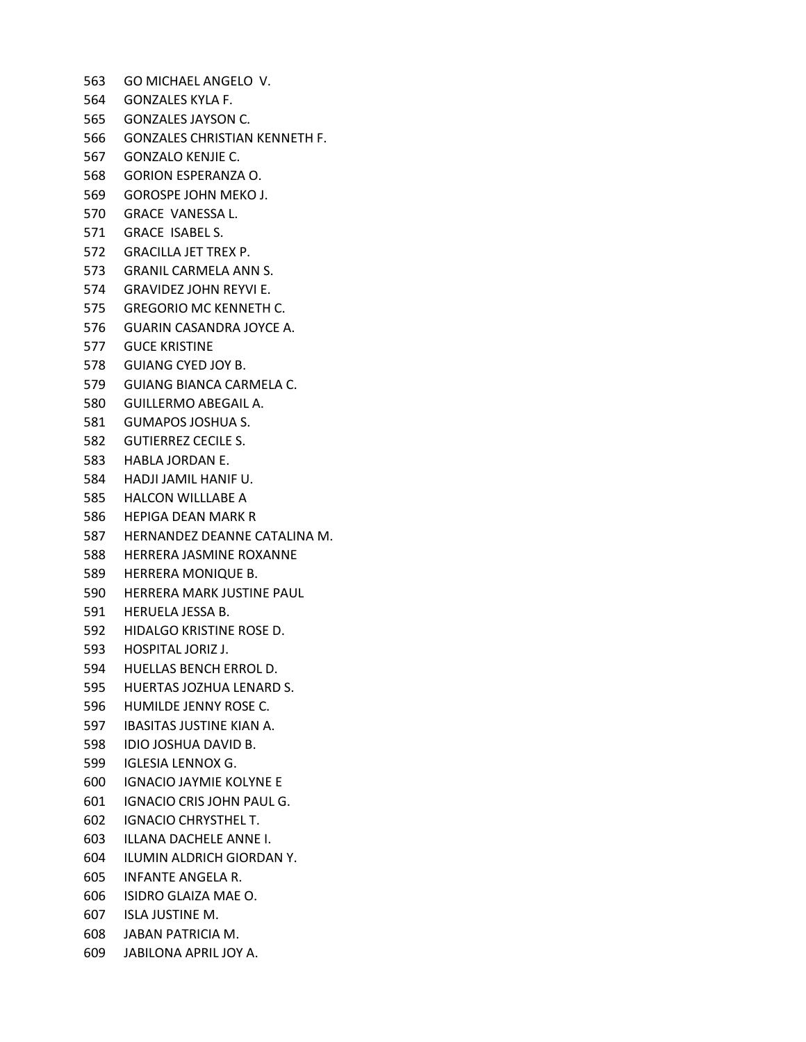GO MICHAEL ANGELO V. GONZALES KYLA F. GONZALES JAYSON C. GONZALES CHRISTIAN KENNETH F. GONZALO KENJIE C. GORION ESPERANZA O. GOROSPE JOHN MEKO J. GRACE VANESSA L. GRACE ISABEL S. GRACILLA JET TREX P. GRANIL CARMELA ANN S. GRAVIDEZ JOHN REYVI E. GREGORIO MC KENNETH C. GUARIN CASANDRA JOYCE A. GUCE KRISTINE GUIANG CYED JOY B. GUIANG BIANCA CARMELA C. GUILLERMO ABEGAIL A. GUMAPOS JOSHUA S. GUTIERREZ CECILE S. HABLA JORDAN E. HADJI JAMIL HANIF U. HALCON WILLLABE A HEPIGA DEAN MARK R HERNANDEZ DEANNE CATALINA M. HERRERA JASMINE ROXANNE HERRERA MONIQUE B. HERRERA MARK JUSTINE PAUL HERUELA JESSA B. HIDALGO KRISTINE ROSE D. HOSPITAL JORIZ J. HUELLAS BENCH ERROL D. HUERTAS JOZHUA LENARD S. HUMILDE JENNY ROSE C. IBASITAS JUSTINE KIAN A. IDIO JOSHUA DAVID B. IGLESIA LENNOX G. IGNACIO JAYMIE KOLYNE E IGNACIO CRIS JOHN PAUL G. IGNACIO CHRYSTHEL T. ILLANA DACHELE ANNE I. ILUMIN ALDRICH GIORDAN Y. INFANTE ANGELA R. ISIDRO GLAIZA MAE O. ISLA JUSTINE M. JABAN PATRICIA M. JABILONA APRIL JOY A.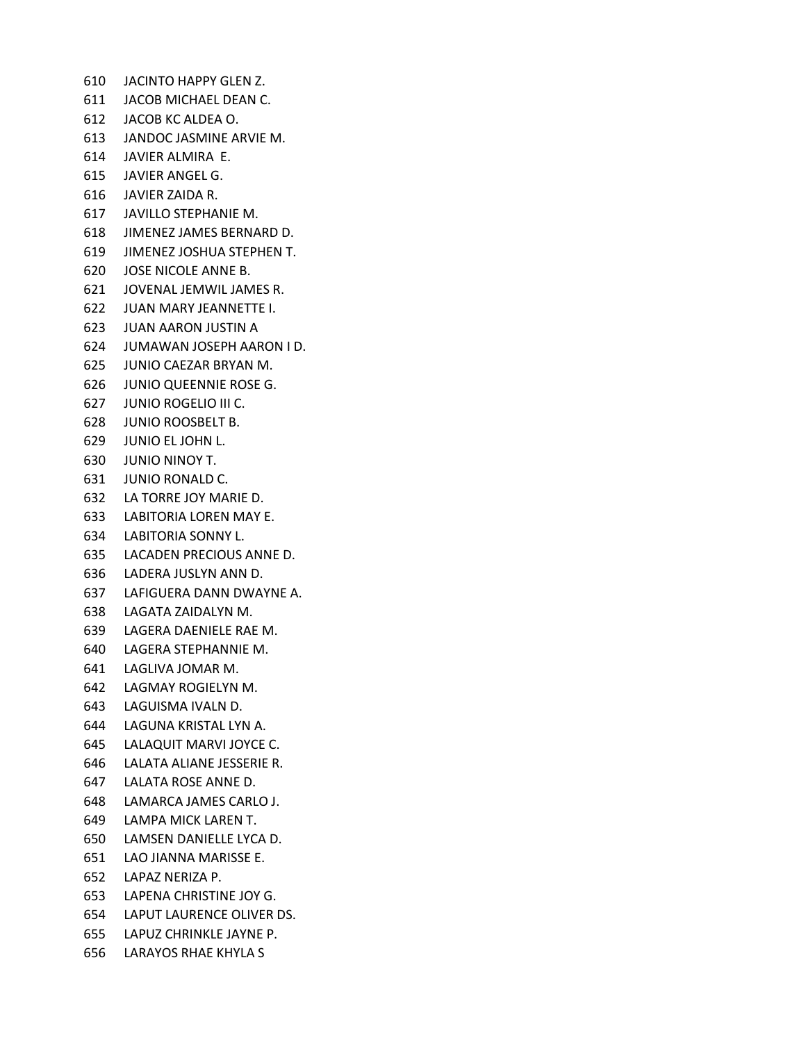JACINTO HAPPY GLEN Z. JACOB MICHAEL DEAN C. JACOB KC ALDEA O. JANDOC JASMINE ARVIE M. JAVIER ALMIRA E. JAVIER ANGEL G. JAVIER ZAIDA R. JAVILLO STEPHANIE M. JIMENEZ JAMES BERNARD D. JIMENEZ JOSHUA STEPHEN T. JOSE NICOLE ANNE B. JOVENAL JEMWIL JAMES R. JUAN MARY JEANNETTE I. JUAN AARON JUSTIN A JUMAWAN JOSEPH AARON I D. JUNIO CAEZAR BRYAN M. JUNIO QUEENNIE ROSE G. JUNIO ROGELIO III C. JUNIO ROOSBELT B. JUNIO EL JOHN L. JUNIO NINOY T. JUNIO RONALD C. LA TORRE JOY MARIE D. LABITORIA LOREN MAY E. LABITORIA SONNY L. LACADEN PRECIOUS ANNE D. LADERA JUSLYN ANN D. LAFIGUERA DANN DWAYNE A. LAGATA ZAIDALYN M. LAGERA DAENIELE RAE M. LAGERA STEPHANNIE M. LAGLIVA JOMAR M. LAGMAY ROGIELYN M. LAGUISMA IVALN D. LAGUNA KRISTAL LYN A. LALAQUIT MARVI JOYCE C. LALATA ALIANE JESSERIE R. LALATA ROSE ANNE D. LAMARCA JAMES CARLO J. LAMPA MICK LAREN T. LAMSEN DANIELLE LYCA D. LAO JIANNA MARISSE E. LAPAZ NERIZA P. LAPENA CHRISTINE JOY G. LAPUT LAURENCE OLIVER DS. LAPUZ CHRINKLE JAYNE P. LARAYOS RHAE KHYLA S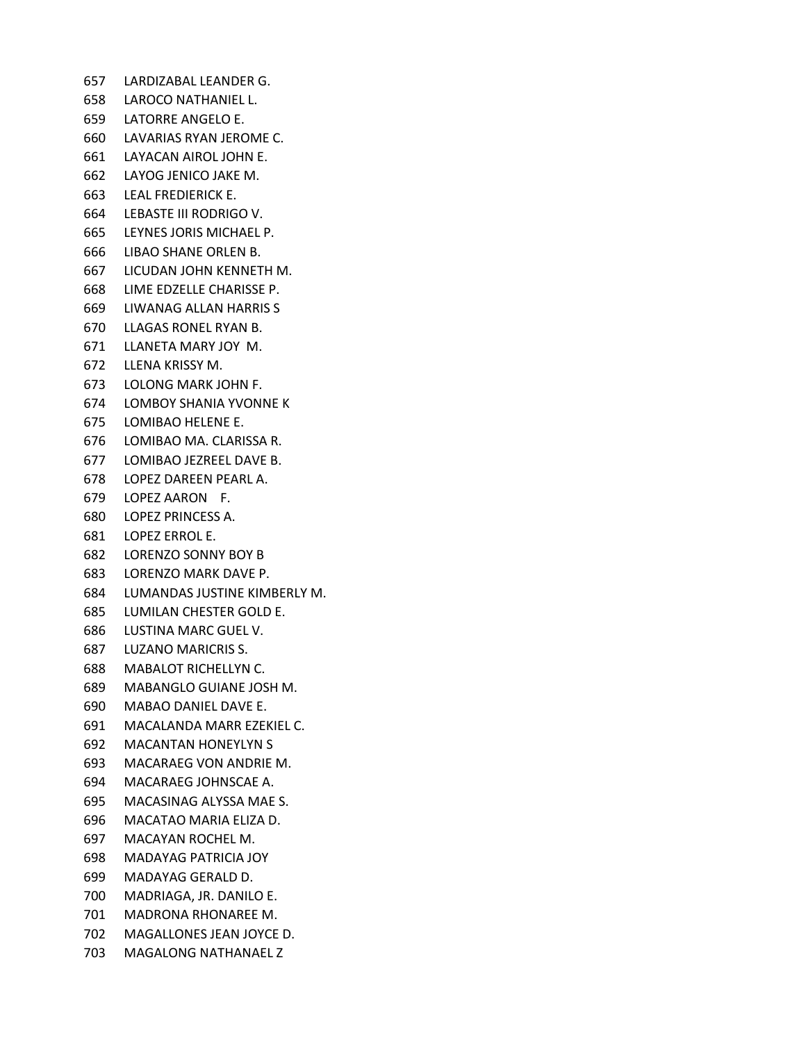LARDIZABAL LEANDER G. LAROCO NATHANIEL L. LATORRE ANGELO E. LAVARIAS RYAN JEROME C. LAYACAN AIROL JOHN E. LAYOG JENICO JAKE M. LEAL FREDIERICK E. LEBASTE III RODRIGO V. LEYNES JORIS MICHAEL P. LIBAO SHANE ORLEN B. LICUDAN JOHN KENNETH M. LIME EDZELLE CHARISSE P. LIWANAG ALLAN HARRIS S LLAGAS RONEL RYAN B. LLANETA MARY JOY M. LLENA KRISSY M. LOLONG MARK JOHN F. LOMBOY SHANIA YVONNE K LOMIBAO HELENE E. LOMIBAO MA. CLARISSA R. LOMIBAO JEZREEL DAVE B. LOPEZ DAREEN PEARL A. LOPEZ AARON F. LOPEZ PRINCESS A. LOPEZ ERROL E. LORENZO SONNY BOY B LORENZO MARK DAVE P. LUMANDAS JUSTINE KIMBERLY M. LUMILAN CHESTER GOLD E. LUSTINA MARC GUEL V. LUZANO MARICRIS S. MABALOT RICHELLYN C. MABANGLO GUIANE JOSH M. MABAO DANIEL DAVE E. MACALANDA MARR EZEKIEL C. MACANTAN HONEYLYN S MACARAEG VON ANDRIE M. MACARAEG JOHNSCAE A. MACASINAG ALYSSA MAE S. MACATAO MARIA ELIZA D. MACAYAN ROCHEL M. MADAYAG PATRICIA JOY MADAYAG GERALD D. MADRIAGA, JR. DANILO E. MADRONA RHONAREE M. MAGALLONES JEAN JOYCE D. MAGALONG NATHANAEL Z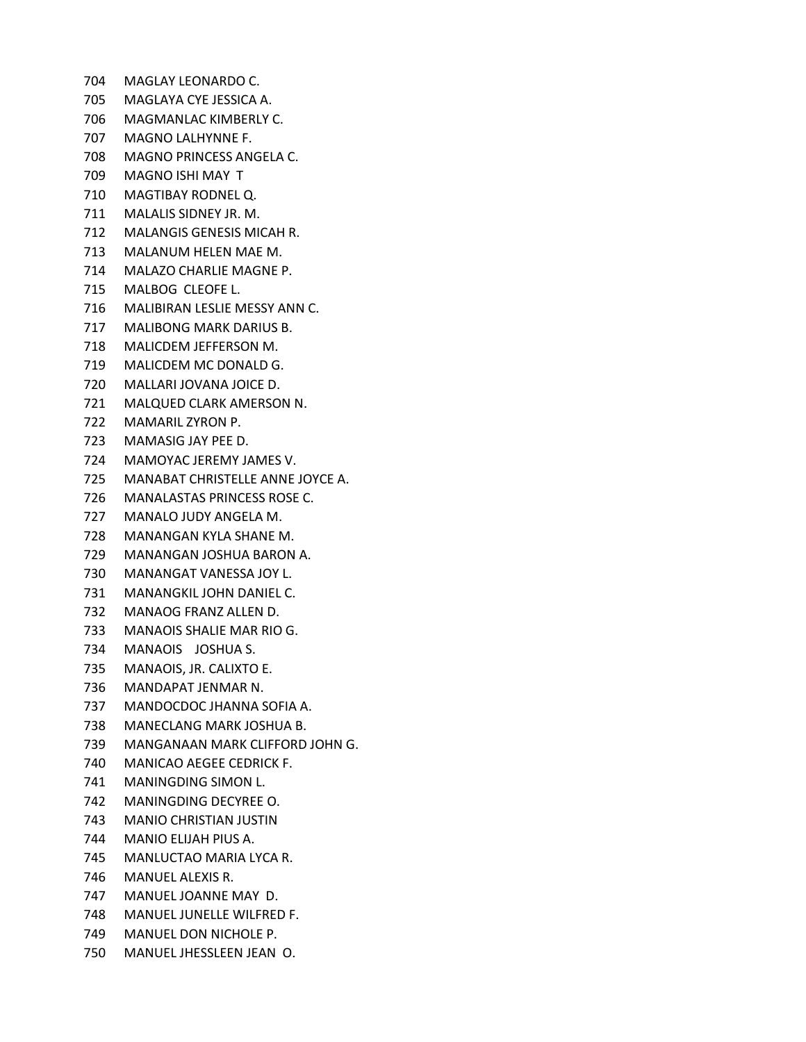- MAGLAY LEONARDO C.
- MAGLAYA CYE JESSICA A.
- MAGMANLAC KIMBERLY C.
- MAGNO LALHYNNE F.
- MAGNO PRINCESS ANGELA C.
- MAGNO ISHI MAY T
- MAGTIBAY RODNEL Q.
- MALALIS SIDNEY JR. M.
- MALANGIS GENESIS MICAH R.
- MALANUM HELEN MAE M.
- MALAZO CHARLIE MAGNE P.
- MALBOG CLEOFE L.
- MALIBIRAN LESLIE MESSY ANN C.
- MALIBONG MARK DARIUS B.
- MALICDEM JEFFERSON M.
- MALICDEM MC DONALD G.
- MALLARI JOVANA JOICE D.
- MALQUED CLARK AMERSON N.
- MAMARIL ZYRON P.
- MAMASIG JAY PEE D.
- MAMOYAC JEREMY JAMES V.
- MANABAT CHRISTELLE ANNE JOYCE A.
- MANALASTAS PRINCESS ROSE C.
- MANALO JUDY ANGELA M.
- MANANGAN KYLA SHANE M.
- MANANGAN JOSHUA BARON A.
- MANANGAT VANESSA JOY L.
- MANANGKIL JOHN DANIEL C.
- MANAOG FRANZ ALLEN D.
- MANAOIS SHALIE MAR RIO G.
- MANAOIS JOSHUA S.
- MANAOIS, JR. CALIXTO E.
- MANDAPAT JENMAR N.
- MANDOCDOC JHANNA SOFIA A.
- MANECLANG MARK JOSHUA B.
- MANGANAAN MARK CLIFFORD JOHN G.
- MANICAO AEGEE CEDRICK F.
- MANINGDING SIMON L.
- MANINGDING DECYREE O.
- MANIO CHRISTIAN JUSTIN
- MANIO ELIJAH PIUS A.
- MANLUCTAO MARIA LYCA R.
- MANUEL ALEXIS R.
- MANUEL JOANNE MAY D.
- MANUEL JUNELLE WILFRED F.
- MANUEL DON NICHOLE P.
- MANUEL JHESSLEEN JEAN O.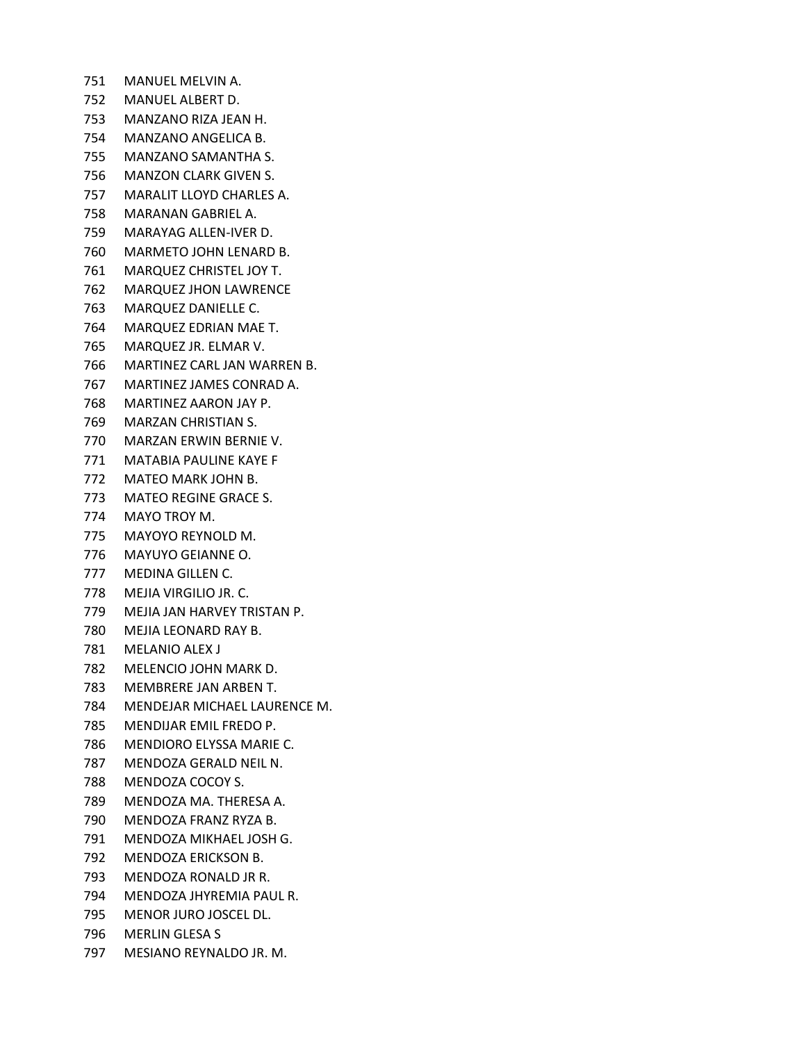MANUEL MELVIN A. MANUEL ALBERT D. MANZANO RIZA JEAN H. MANZANO ANGELICA B. MANZANO SAMANTHA S. MANZON CLARK GIVEN S. MARALIT LLOYD CHARLES A. MARANAN GABRIEL A. MARAYAG ALLEN-IVER D. MARMETO JOHN LENARD B. MARQUEZ CHRISTEL JOY T. MARQUEZ JHON LAWRENCE MARQUEZ DANIELLE C. MARQUEZ EDRIAN MAE T. MARQUEZ JR. ELMAR V. MARTINEZ CARL JAN WARREN B. MARTINEZ JAMES CONRAD A. MARTINEZ AARON JAY P. MARZAN CHRISTIAN S. MARZAN ERWIN BERNIE V. MATABIA PAULINE KAYE F MATEO MARK JOHN B. MATEO REGINE GRACE S. MAYO TROY M. MAYOYO REYNOLD M. MAYUYO GEIANNE O. MEDINA GILLEN C. MEJIA VIRGILIO JR. C. MEJIA JAN HARVEY TRISTAN P. MEJIA LEONARD RAY B. MELANIO ALEX J MELENCIO JOHN MARK D. MEMBRERE JAN ARBEN T. MENDEJAR MICHAEL LAURENCE M. MENDIJAR EMIL FREDO P. MENDIORO ELYSSA MARIE C. MENDOZA GERALD NEIL N. MENDOZA COCOY S. MENDOZA MA. THERESA A. MENDOZA FRANZ RYZA B. MENDOZA MIKHAEL JOSH G. MENDOZA ERICKSON B. MENDOZA RONALD JR R. MENDOZA JHYREMIA PAUL R. MENOR JURO JOSCEL DL. MERLIN GLESA S MESIANO REYNALDO JR. M.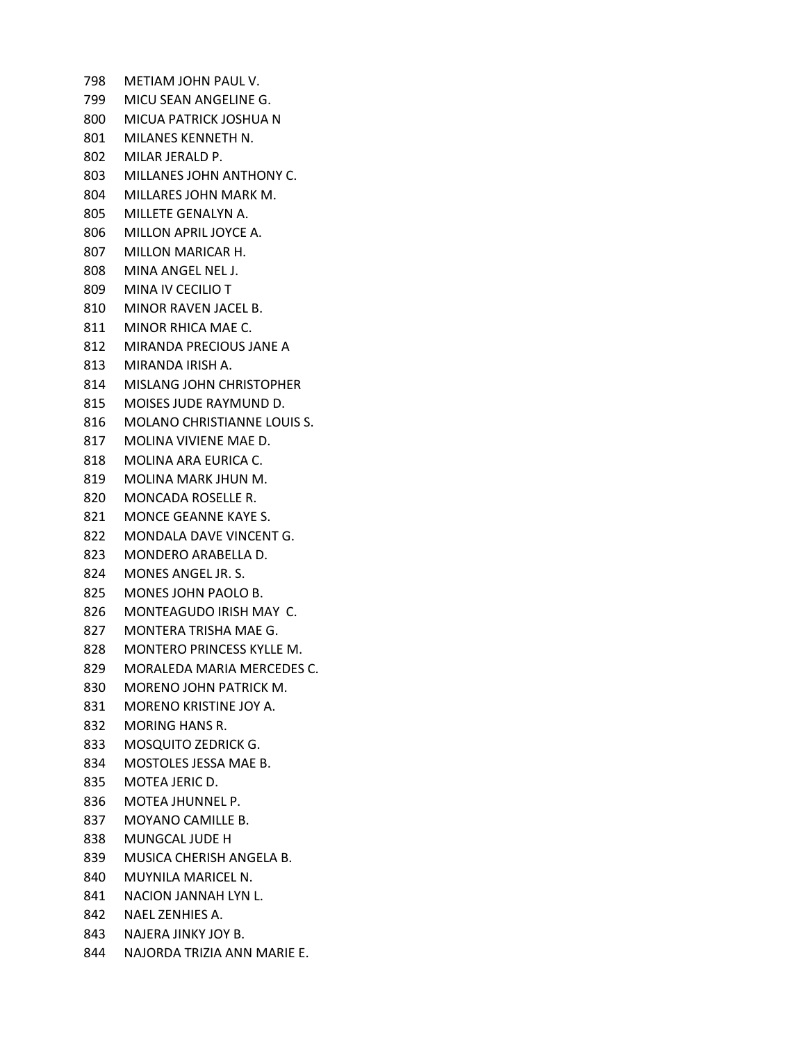METIAM JOHN PAUL V. MICU SEAN ANGELINE G. MICUA PATRICK JOSHUA N MILANES KENNETH N. MILAR JERALD P. MILLANES JOHN ANTHONY C. MILLARES JOHN MARK M. MILLETE GENALYN A. MILLON APRIL JOYCE A. MILLON MARICAR H. MINA ANGEL NEL J. MINA IV CECILIO T MINOR RAVEN JACEL B. MINOR RHICA MAE C. MIRANDA PRECIOUS JANE A MIRANDA IRISH A. MISLANG JOHN CHRISTOPHER MOISES JUDE RAYMUND D. MOLANO CHRISTIANNE LOUIS S. MOLINA VIVIENE MAE D. MOLINA ARA EURICA C. MOLINA MARK JHUN M. MONCADA ROSELLE R. MONCE GEANNE KAYE S. MONDALA DAVE VINCENT G. MONDERO ARABELLA D. MONES ANGEL JR. S. MONES JOHN PAOLO B. MONTEAGUDO IRISH MAY C. MONTERA TRISHA MAE G. MONTERO PRINCESS KYLLE M. MORALEDA MARIA MERCEDES C. MORENO JOHN PATRICK M. MORENO KRISTINE JOY A. MORING HANS R. MOSQUITO ZEDRICK G. MOSTOLES JESSA MAE B. MOTEA JERIC D. MOTEA JHUNNEL P. MOYANO CAMILLE B. MUNGCAL JUDE H MUSICA CHERISH ANGELA B. MUYNILA MARICEL N. NACION JANNAH LYN L. NAEL ZENHIES A. NAJERA JINKY JOY B. NAJORDA TRIZIA ANN MARIE E.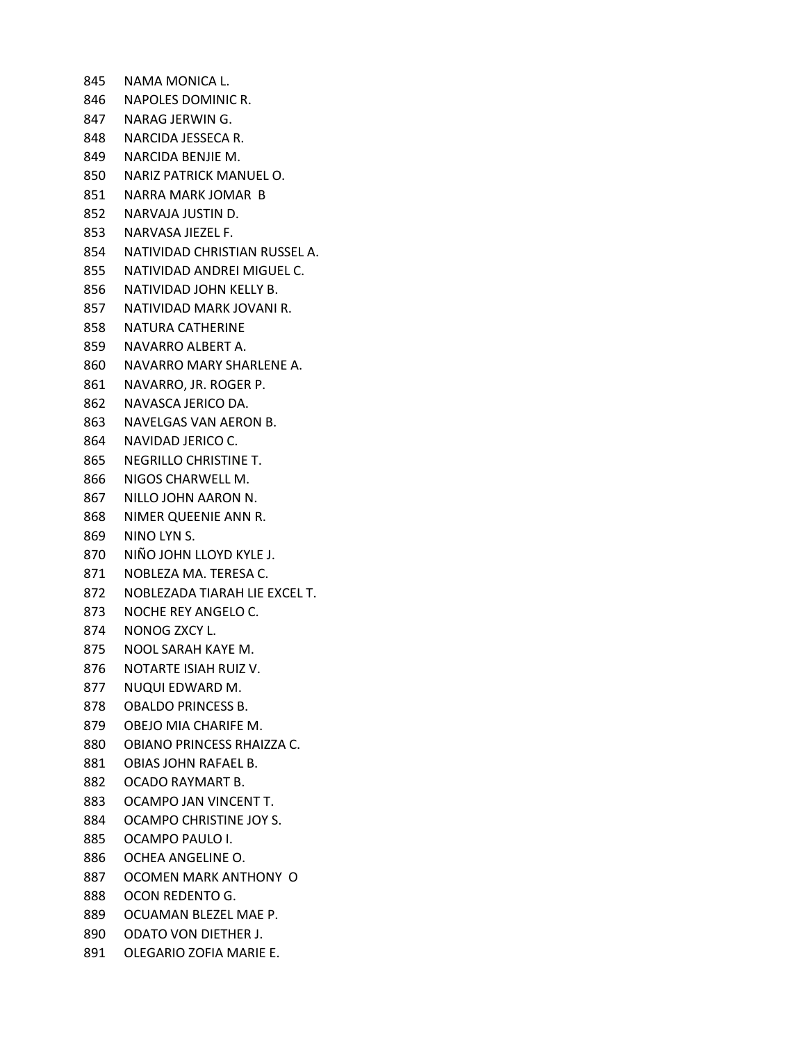NAMA MONICA L. NAPOLES DOMINIC R. NARAG JERWIN G. NARCIDA JESSECA R. NARCIDA BENJIE M. NARIZ PATRICK MANUEL O. NARRA MARK JOMAR B NARVAJA JUSTIN D. NARVASA JIEZEL F. NATIVIDAD CHRISTIAN RUSSEL A. NATIVIDAD ANDREI MIGUEL C. NATIVIDAD JOHN KELLY B. NATIVIDAD MARK JOVANI R. NATURA CATHERINE NAVARRO ALBERT A. NAVARRO MARY SHARLENE A. NAVARRO, JR. ROGER P. NAVASCA JERICO DA. NAVELGAS VAN AERON B. NAVIDAD JERICO C. NEGRILLO CHRISTINE T. NIGOS CHARWELL M. NILLO JOHN AARON N. NIMER QUEENIE ANN R. NINO LYN S. NIÑO JOHN LLOYD KYLE J. NOBLEZA MA. TERESA C. NOBLEZADA TIARAH LIE EXCEL T. NOCHE REY ANGELO C. NONOG ZXCY L. NOOL SARAH KAYE M. NOTARTE ISIAH RUIZ V. NUQUI EDWARD M. OBALDO PRINCESS B. OBEJO MIA CHARIFE M. OBIANO PRINCESS RHAIZZA C. OBIAS JOHN RAFAEL B. OCADO RAYMART B. OCAMPO JAN VINCENT T. OCAMPO CHRISTINE JOY S. OCAMPO PAULO I. OCHEA ANGELINE O. OCOMEN MARK ANTHONY O OCON REDENTO G. OCUAMAN BLEZEL MAE P. ODATO VON DIETHER J. OLEGARIO ZOFIA MARIE E.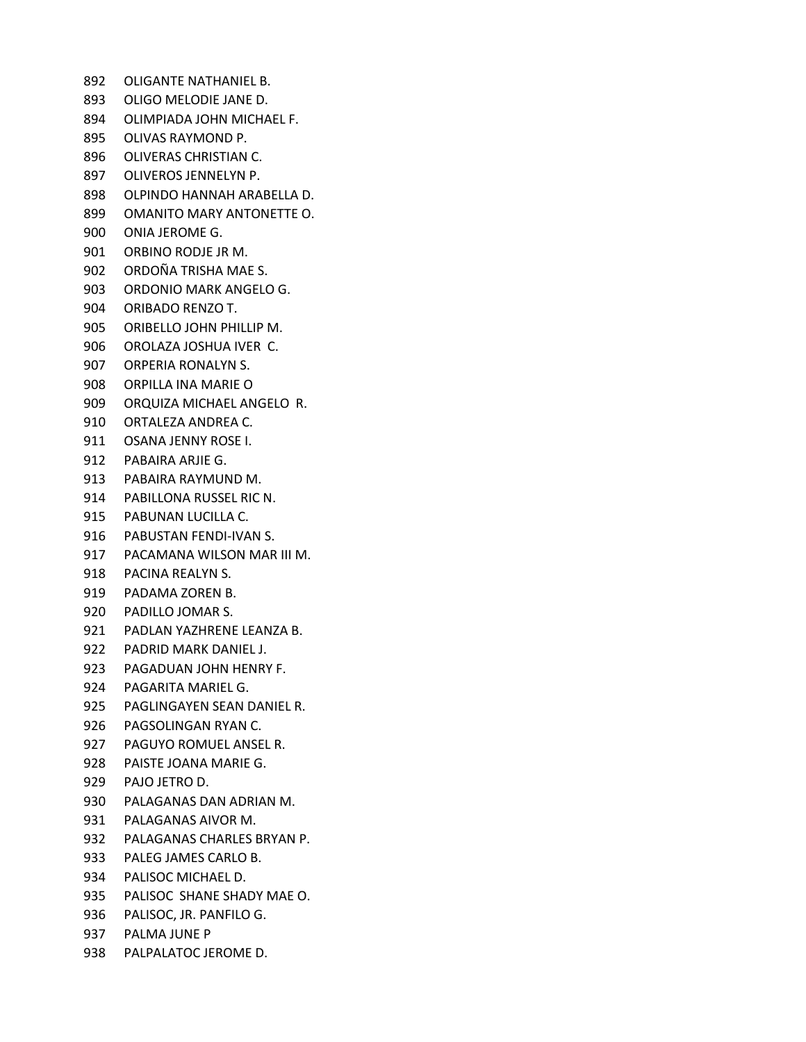OLIGANTE NATHANIEL B. OLIGO MELODIE JANE D. OLIMPIADA JOHN MICHAEL F. OLIVAS RAYMOND P. OLIVERAS CHRISTIAN C. OLIVEROS JENNELYN P. OLPINDO HANNAH ARABELLA D. OMANITO MARY ANTONETTE O. ONIA JEROME G. ORBINO RODJE JR M. ORDOÑA TRISHA MAE S. ORDONIO MARK ANGELO G. ORIBADO RENZO T. ORIBELLO JOHN PHILLIP M. OROLAZA JOSHUA IVER C. ORPERIA RONALYN S. ORPILLA INA MARIE O ORQUIZA MICHAEL ANGELO R. ORTALEZA ANDREA C. OSANA JENNY ROSE I. PABAIRA ARJIE G. PABAIRA RAYMUND M. PABILLONA RUSSEL RIC N. PABUNAN LUCILLA C. PABUSTAN FENDI-IVAN S. PACAMANA WILSON MAR III M. PACINA REALYN S. PADAMA ZOREN B. PADILLO JOMAR S. PADLAN YAZHRENE LEANZA B. PADRID MARK DANIEL J. PAGADUAN JOHN HENRY F. PAGARITA MARIEL G. PAGLINGAYEN SEAN DANIEL R. PAGSOLINGAN RYAN C. PAGUYO ROMUEL ANSEL R. PAISTE JOANA MARIE G. PAJO JETRO D. PALAGANAS DAN ADRIAN M. PALAGANAS AIVOR M. PALAGANAS CHARLES BRYAN P. PALEG JAMES CARLO B. PALISOC MICHAEL D. PALISOC SHANE SHADY MAE O. PALISOC, JR. PANFILO G. PALMA JUNE P PALPALATOC JEROME D.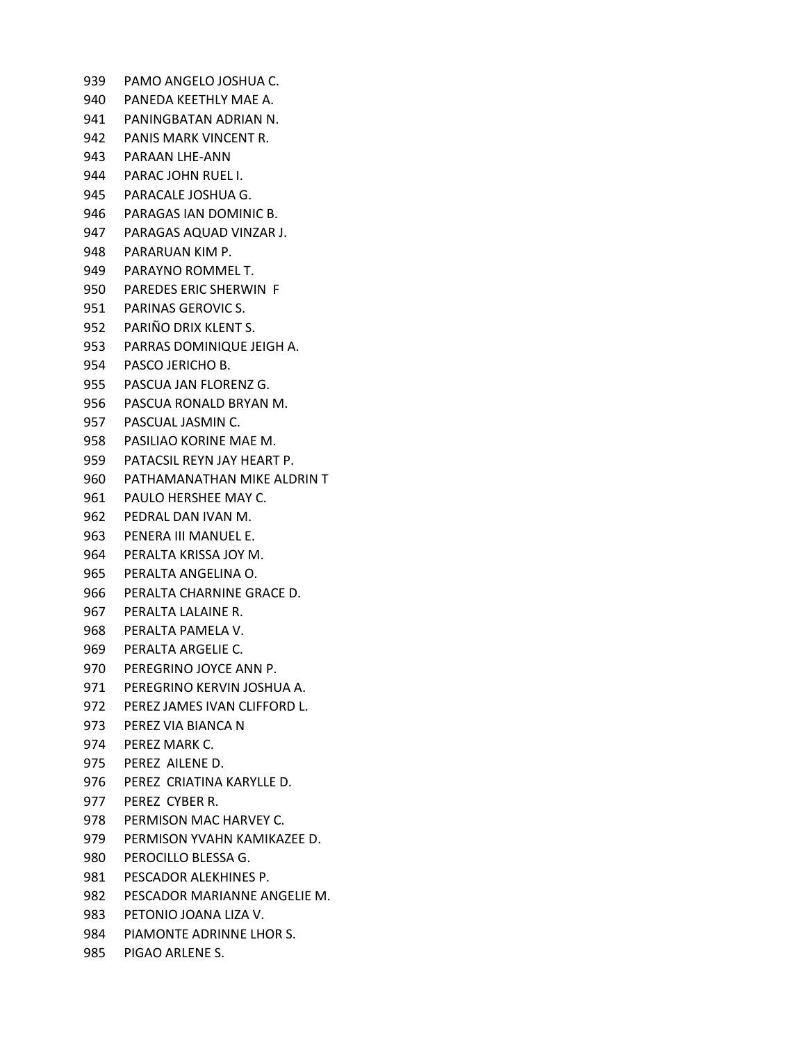PAMO ANGELO JOSHUA C. PANEDA KEETHLY MAE A. PANINGBATAN ADRIAN N. PANIS MARK VINCENT R. PARAAN LHE-ANN PARAC JOHN RUEL I. PARACALE JOSHUA G. PARAGAS IAN DOMINIC B. PARAGAS AQUAD VINZAR J. PARARUAN KIM P. PARAYNO ROMMEL T. PAREDES ERIC SHERWIN F PARINAS GEROVIC S. PARIÑO DRIX KLENT S. PARRAS DOMINIQUE JEIGH A. PASCO JERICHO B. PASCUA JAN FLORENZ G. PASCUA RONALD BRYAN M. PASCUAL JASMIN C. PASILIAO KORINE MAE M. PATACSIL REYN JAY HEART P. PATHAMANATHAN MIKE ALDRIN T PAULO HERSHEE MAY C. PEDRAL DAN IVAN M. PENERA III MANUEL E. PERALTA KRISSA JOY M. PERALTA ANGELINA O. PERALTA CHARNINE GRACE D. PERALTA LALAINE R. PERALTA PAMELA V. PERALTA ARGELIE C. PEREGRINO JOYCE ANN P. PEREGRINO KERVIN JOSHUA A. PEREZ JAMES IVAN CLIFFORD L. PEREZ VIA BIANCA N PEREZ MARK C. PEREZ AILENE D. PEREZ CRIATINA KARYLLE D. PEREZ CYBER R. PERMISON MAC HARVEY C. PERMISON YVAHN KAMIKAZEE D. PEROCILLO BLESSA G. PESCADOR ALEKHINES P. PESCADOR MARIANNE ANGELIE M. PETONIO JOANA LIZA V. PIAMONTE ADRINNE LHOR S.

PIGAO ARLENE S.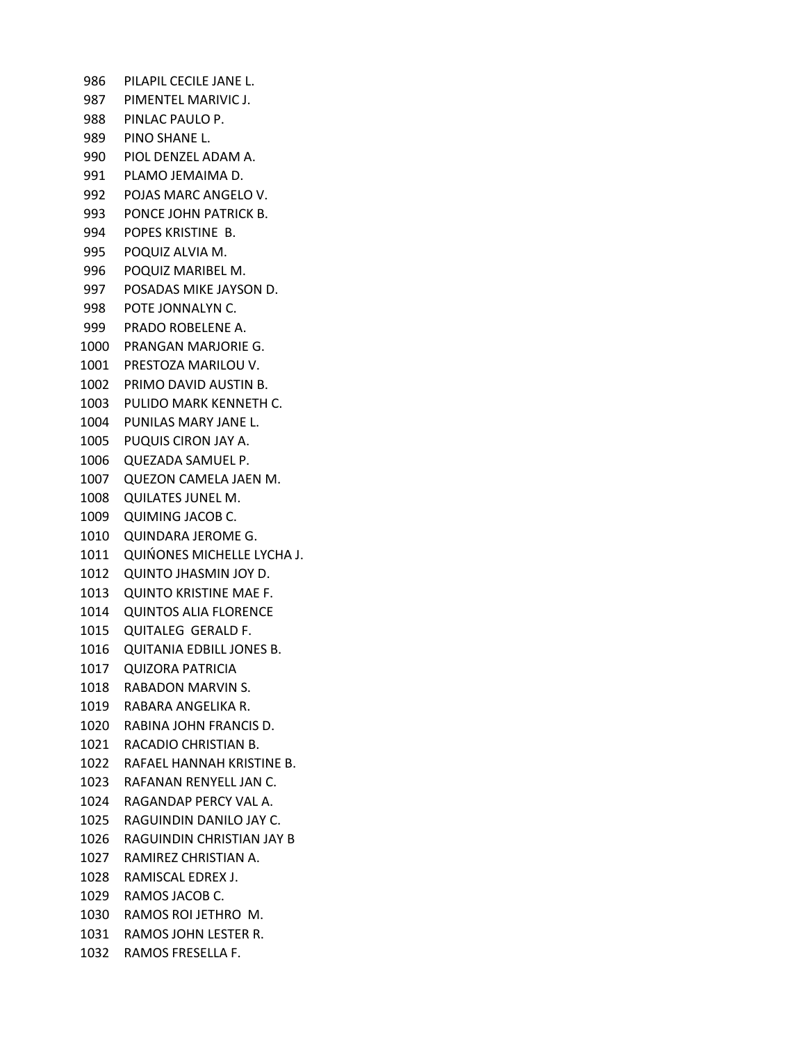PILAPIL CECILE JANE L. PIMENTEL MARIVIC J. PINLAC PAULO P. PINO SHANE L. PIOL DENZEL ADAM A. PLAMO JEMAIMA D. POJAS MARC ANGELO V. PONCE JOHN PATRICK B. POPES KRISTINE B. POQUIZ ALVIA M. POQUIZ MARIBEL M. POSADAS MIKE JAYSON D. POTE JONNALYN C. PRADO ROBELENE A. PRANGAN MARJORIE G. PRESTOZA MARILOU V. PRIMO DAVID AUSTIN B. PULIDO MARK KENNETH C. PUNILAS MARY JANE L. PUQUIS CIRON JAY A. QUEZADA SAMUEL P. QUEZON CAMELA JAEN M. QUILATES JUNEL M. QUIMING JACOB C. QUINDARA JEROME G. QUIŃONES MICHELLE LYCHA J. QUINTO JHASMIN JOY D. QUINTO KRISTINE MAE F. QUINTOS ALIA FLORENCE QUITALEG GERALD F. QUITANIA EDBILL JONES B. QUIZORA PATRICIA RABADON MARVIN S. RABARA ANGELIKA R. RABINA JOHN FRANCIS D. RACADIO CHRISTIAN B. RAFAEL HANNAH KRISTINE B. RAFANAN RENYELL JAN C. RAGANDAP PERCY VAL A. RAGUINDIN DANILO JAY C. RAGUINDIN CHRISTIAN JAY B RAMIREZ CHRISTIAN A. RAMISCAL EDREX J. RAMOS JACOB C. RAMOS ROI JETHRO M. RAMOS JOHN LESTER R. RAMOS FRESELLA F.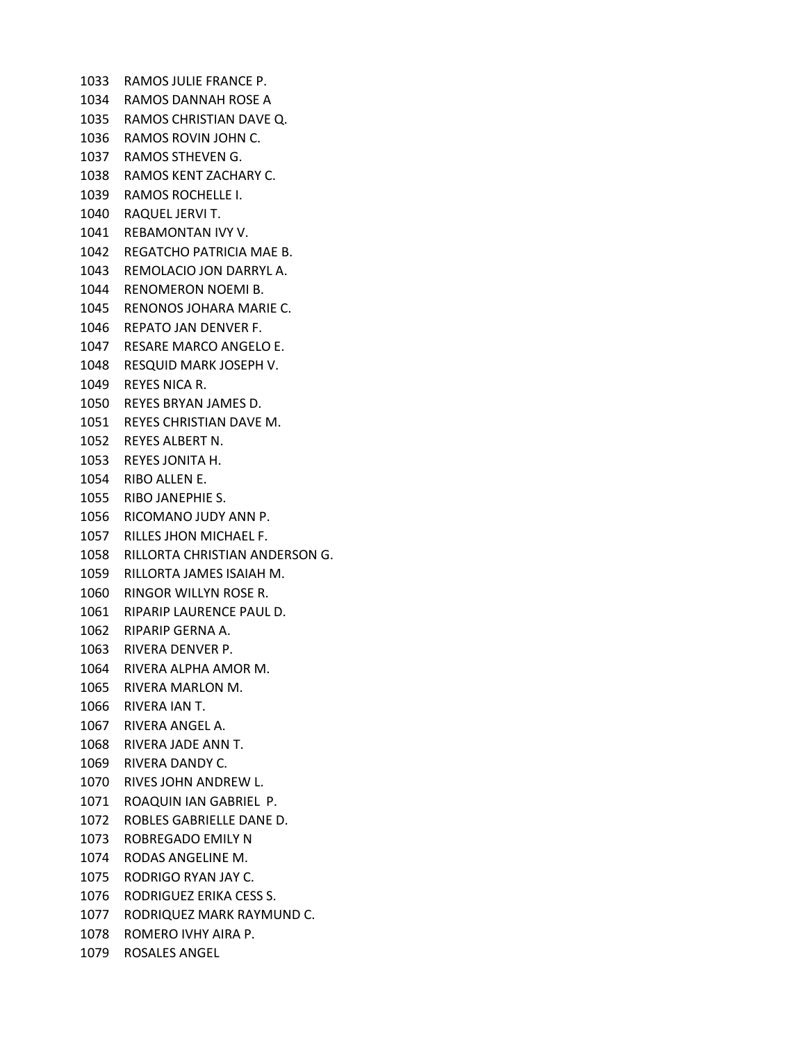RAMOS JULIE FRANCE P. RAMOS DANNAH ROSE A RAMOS CHRISTIAN DAVE Q. RAMOS ROVIN JOHN C. RAMOS STHEVEN G. RAMOS KENT ZACHARY C. RAMOS ROCHELLE I. RAQUEL JERVI T. REBAMONTAN IVY V. REGATCHO PATRICIA MAE B. REMOLACIO JON DARRYL A. RENOMERON NOEMI B. RENONOS JOHARA MARIE C. REPATO JAN DENVER F. RESARE MARCO ANGELO E. RESQUID MARK JOSEPH V. REYES NICA R. REYES BRYAN JAMES D. REYES CHRISTIAN DAVE M. REYES ALBERT N. REYES JONITA H. RIBO ALLEN E. RIBO JANEPHIE S. RICOMANO JUDY ANN P. RILLES JHON MICHAEL F. RILLORTA CHRISTIAN ANDERSON G. RILLORTA JAMES ISAIAH M. RINGOR WILLYN ROSE R. RIPARIP LAURENCE PAUL D. RIPARIP GERNA A. RIVERA DENVER P. RIVERA ALPHA AMOR M. RIVERA MARLON M. RIVERA IAN T. RIVERA ANGEL A. RIVERA JADE ANN T. RIVERA DANDY C. RIVES JOHN ANDREW L. ROAQUIN IAN GABRIEL P. ROBLES GABRIELLE DANE D. ROBREGADO EMILY N RODAS ANGELINE M. RODRIGO RYAN JAY C. RODRIGUEZ ERIKA CESS S. RODRIQUEZ MARK RAYMUND C. ROMERO IVHY AIRA P. ROSALES ANGEL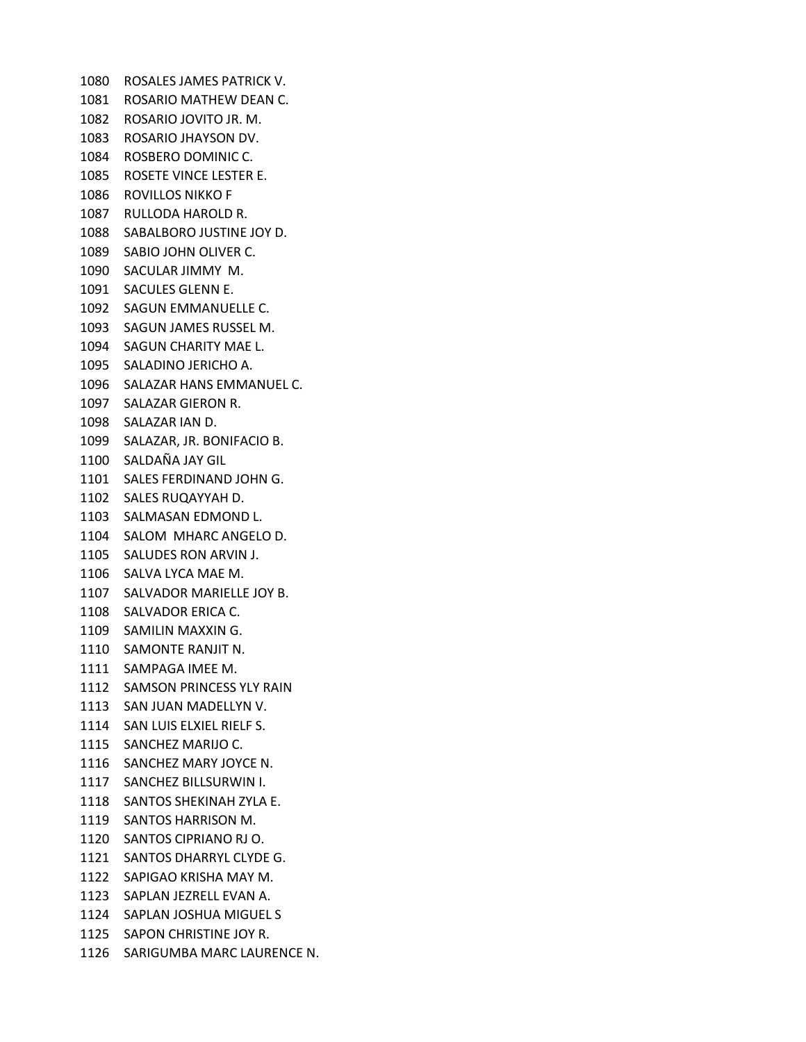ROSALES JAMES PATRICK V. ROSARIO MATHEW DEAN C. ROSARIO JOVITO JR. M. ROSARIO JHAYSON DV. ROSBERO DOMINIC C. ROSETE VINCE LESTER E. ROVILLOS NIKKO F RULLODA HAROLD R. SABALBORO JUSTINE JOY D. SABIO JOHN OLIVER C. SACULAR JIMMY M. SACULES GLENN E. SAGUN EMMANUELLE C. SAGUN JAMES RUSSEL M. SAGUN CHARITY MAE L. SALADINO JERICHO A. SALAZAR HANS EMMANUEL C. SALAZAR GIERON R. SALAZAR IAN D. SALAZAR, JR. BONIFACIO B. SALDAÑA JAY GIL SALES FERDINAND JOHN G. SALES RUQAYYAH D. SALMASAN EDMOND L. SALOM MHARC ANGELO D. SALUDES RON ARVIN J. SALVA LYCA MAE M. SALVADOR MARIELLE JOY B. SALVADOR ERICA C. SAMILIN MAXXIN G. SAMONTE RANJIT N. SAMPAGA IMEE M. SAMSON PRINCESS YLY RAIN SAN JUAN MADELLYN V. SAN LUIS ELXIEL RIELF S. SANCHEZ MARIJO C. SANCHEZ MARY JOYCE N. SANCHEZ BILLSURWIN I. SANTOS SHEKINAH ZYLA E. SANTOS HARRISON M. SANTOS CIPRIANO RJ O. SANTOS DHARRYL CLYDE G. SAPIGAO KRISHA MAY M. SAPLAN JEZRELL EVAN A. SAPLAN JOSHUA MIGUEL S SAPON CHRISTINE JOY R. SARIGUMBA MARC LAURENCE N.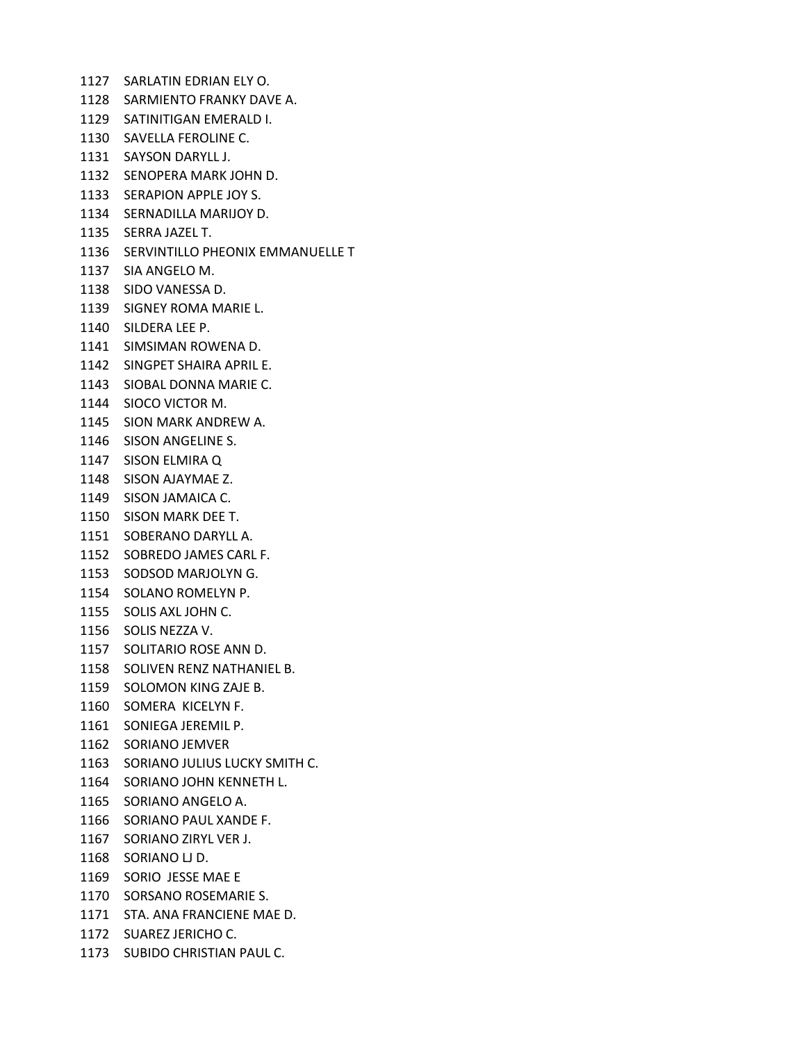SARLATIN EDRIAN ELY O. SARMIENTO FRANKY DAVE A. SATINITIGAN EMERALD I. SAVELLA FEROLINE C. SAYSON DARYLL J. SENOPERA MARK JOHN D. SERAPION APPLE JOY S. SERNADILLA MARIJOY D. SERRA JAZEL T. SERVINTILLO PHEONIX EMMANUELLE T SIA ANGELO M. SIDO VANESSA D. SIGNEY ROMA MARIE L. SILDERA LEE P. SIMSIMAN ROWENA D. SINGPET SHAIRA APRIL E. SIOBAL DONNA MARIE C. SIOCO VICTOR M. SION MARK ANDREW A. SISON ANGELINE S. SISON ELMIRA Q SISON AJAYMAE Z. SISON JAMAICA C. SISON MARK DEE T. SOBERANO DARYLL A. SOBREDO JAMES CARL F. SODSOD MARJOLYN G. SOLANO ROMELYN P. SOLIS AXL JOHN C. SOLIS NEZZA V. SOLITARIO ROSE ANN D. SOLIVEN RENZ NATHANIEL B. SOLOMON KING ZAJE B. SOMERA KICELYN F. SONIEGA JEREMIL P. SORIANO JEMVER SORIANO JULIUS LUCKY SMITH C. SORIANO JOHN KENNETH L. SORIANO ANGELO A. SORIANO PAUL XANDE F. SORIANO ZIRYL VER J. SORIANO LJ D. SORIO JESSE MAE E SORSANO ROSEMARIE S. STA. ANA FRANCIENE MAE D. SUAREZ JERICHO C. SUBIDO CHRISTIAN PAUL C.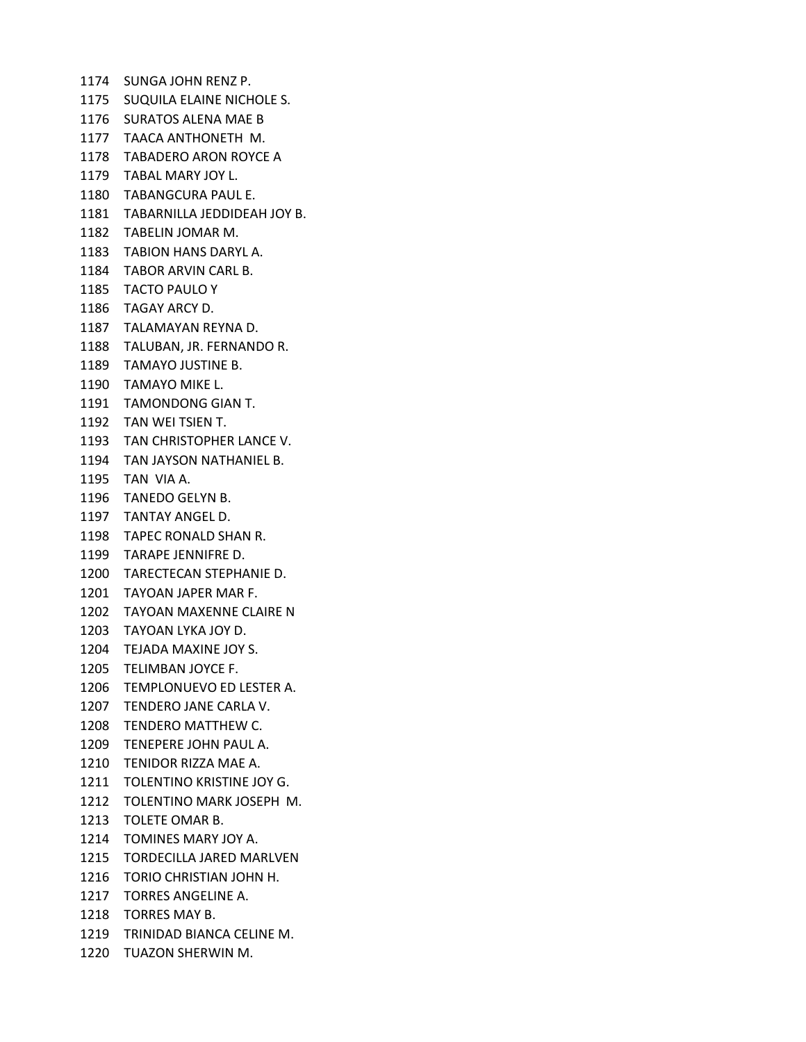SUNGA JOHN RENZ P. SUQUILA ELAINE NICHOLE S. SURATOS ALENA MAE B TAACA ANTHONETH M. TABADERO ARON ROYCE A TABAL MARY JOY L. TABANGCURA PAUL E. TABARNILLA JEDDIDEAH JOY B. TABELIN JOMAR M. TABION HANS DARYL A. TABOR ARVIN CARL B. TACTO PAULO Y TAGAY ARCY D. TALAMAYAN REYNA D. TALUBAN, JR. FERNANDO R. TAMAYO JUSTINE B. TAMAYO MIKE L. TAMONDONG GIAN T. TAN WEI TSIEN T. TAN CHRISTOPHER LANCE V. TAN JAYSON NATHANIEL B. TAN VIA A. TANEDO GELYN B. TANTAY ANGEL D. TAPEC RONALD SHAN R. TARAPE JENNIFRE D. TARECTECAN STEPHANIE D. TAYOAN JAPER MAR F. TAYOAN MAXENNE CLAIRE N TAYOAN LYKA JOY D. TEJADA MAXINE JOY S. TELIMBAN JOYCE F. TEMPLONUEVO ED LESTER A. TENDERO JANE CARLA V. TENDERO MATTHEW C. TENEPERE JOHN PAUL A. TENIDOR RIZZA MAE A. TOLENTINO KRISTINE JOY G. TOLENTINO MARK JOSEPH M. TOLETE OMAR B. TOMINES MARY JOY A. TORDECILLA JARED MARLVEN TORIO CHRISTIAN JOHN H. TORRES ANGELINE A. TORRES MAY B. TRINIDAD BIANCA CELINE M. TUAZON SHERWIN M.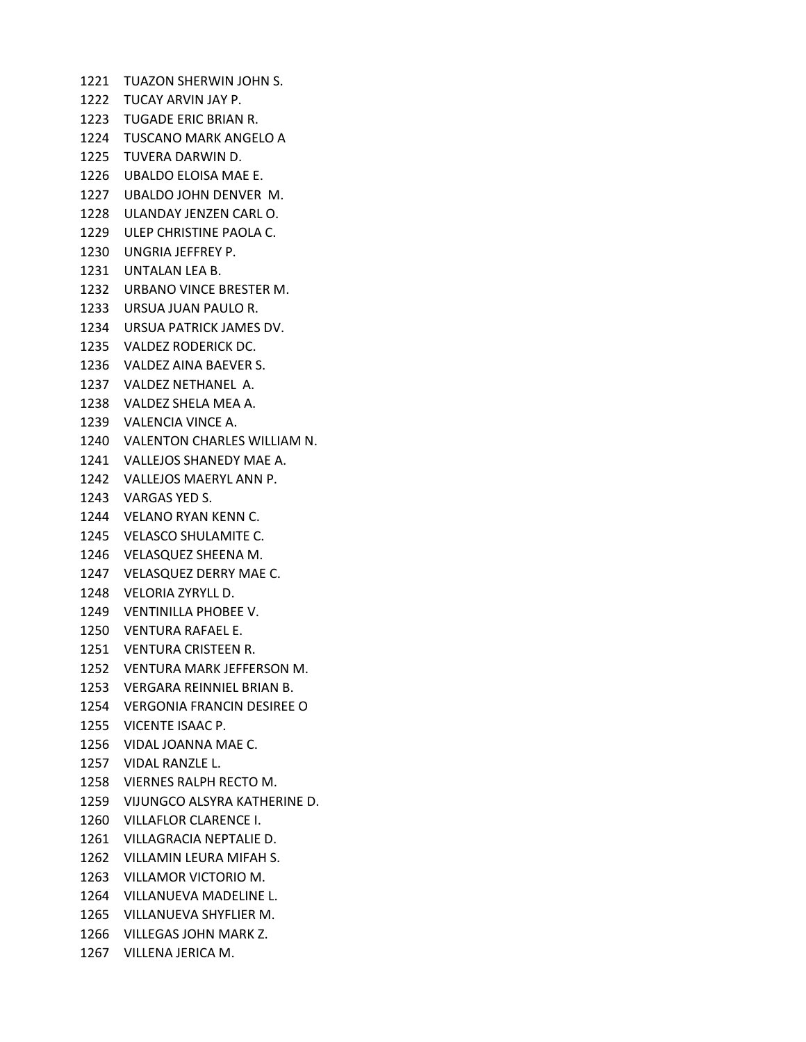TUAZON SHERWIN JOHN S. TUCAY ARVIN JAY P. TUGADE ERIC BRIAN R. TUSCANO MARK ANGELO A TUVERA DARWIN D. UBALDO ELOISA MAE E. UBALDO JOHN DENVER M. ULANDAY JENZEN CARL O. ULEP CHRISTINE PAOLA C. UNGRIA JEFFREY P. UNTALAN LEA B. URBANO VINCE BRESTER M. URSUA JUAN PAULO R. URSUA PATRICK JAMES DV. VALDEZ RODERICK DC. VALDEZ AINA BAEVER S. VALDEZ NETHANEL A. VALDEZ SHELA MEA A. VALENCIA VINCE A. VALENTON CHARLES WILLIAM N. VALLEJOS SHANEDY MAE A. VALLEJOS MAERYL ANN P. VARGAS YED S. VELANO RYAN KENN C. VELASCO SHULAMITE C. VELASQUEZ SHEENA M. VELASQUEZ DERRY MAE C. VELORIA ZYRYLL D. VENTINILLA PHOBEE V. VENTURA RAFAEL E. VENTURA CRISTEEN R. VENTURA MARK JEFFERSON M. VERGARA REINNIEL BRIAN B. VERGONIA FRANCIN DESIREE O VICENTE ISAAC P. VIDAL JOANNA MAE C. VIDAL RANZLE L. VIERNES RALPH RECTO M. VIJUNGCO ALSYRA KATHERINE D. VILLAFLOR CLARENCE I. VILLAGRACIA NEPTALIE D. VILLAMIN LEURA MIFAH S. VILLAMOR VICTORIO M. VILLANUEVA MADELINE L. VILLANUEVA SHYFLIER M. VILLEGAS JOHN MARK Z.

VILLENA JERICA M.